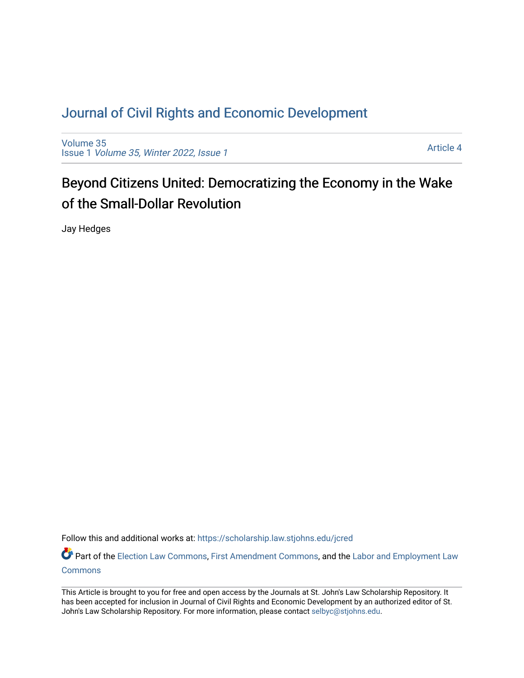# [Journal of Civil Rights and Economic Development](https://scholarship.law.stjohns.edu/jcred)

[Volume 35](https://scholarship.law.stjohns.edu/jcred/vol35) Issue 1 [Volume 35, Winter 2022, Issue 1](https://scholarship.law.stjohns.edu/jcred/vol35/iss1)

[Article 4](https://scholarship.law.stjohns.edu/jcred/vol35/iss1/4) 

# Beyond Citizens United: Democratizing the Economy in the Wake of the Small-Dollar Revolution

Jay Hedges

Follow this and additional works at: [https://scholarship.law.stjohns.edu/jcred](https://scholarship.law.stjohns.edu/jcred?utm_source=scholarship.law.stjohns.edu%2Fjcred%2Fvol35%2Fiss1%2F4&utm_medium=PDF&utm_campaign=PDFCoverPages) 

Part of the [Election Law Commons](http://network.bepress.com/hgg/discipline/1121?utm_source=scholarship.law.stjohns.edu%2Fjcred%2Fvol35%2Fiss1%2F4&utm_medium=PDF&utm_campaign=PDFCoverPages), [First Amendment Commons](http://network.bepress.com/hgg/discipline/1115?utm_source=scholarship.law.stjohns.edu%2Fjcred%2Fvol35%2Fiss1%2F4&utm_medium=PDF&utm_campaign=PDFCoverPages), and the Labor and Employment Law **[Commons](http://network.bepress.com/hgg/discipline/909?utm_source=scholarship.law.stjohns.edu%2Fjcred%2Fvol35%2Fiss1%2F4&utm_medium=PDF&utm_campaign=PDFCoverPages)** 

This Article is brought to you for free and open access by the Journals at St. John's Law Scholarship Repository. It has been accepted for inclusion in Journal of Civil Rights and Economic Development by an authorized editor of St. John's Law Scholarship Repository. For more information, please contact [selbyc@stjohns.edu](mailto:selbyc@stjohns.edu).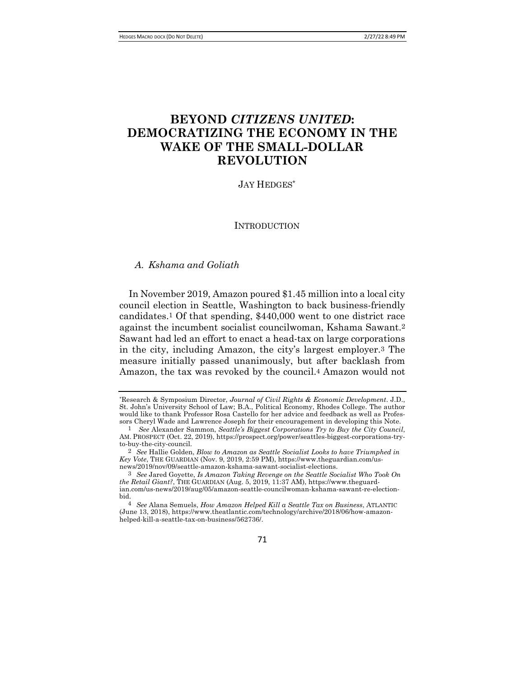# **BEYOND** *CITIZENS UNITED***: DEMOCRATIZING THE ECONOMY IN THE WAKE OF THE SMALL-DOLLAR REVOLUTION**

### JAY HEDGES\*

**INTRODUCTION** 

## *A. Kshama and Goliath*

In November 2019, Amazon poured \$1.45 million into a local city council election in Seattle, Washington to back business-friendly candidates.1 Of that spending, \$440,000 went to one district race against the incumbent socialist councilwoman, Kshama Sawant.2 Sawant had led an effort to enact a head-tax on large corporations in the city, including Amazon, the city's largest employer.3 The measure initially passed unanimously, but after backlash from Amazon, the tax was revoked by the council.4 Amazon would not

71

<sup>\*</sup>Research & Symposium Director, *Journal of Civil Rights & Economic Development*. J.D., St. John's University School of Law; B.A., Political Economy, Rhodes College. The author would like to thank Professor Rosa Castello for her advice and feedback as well as Professors Cheryl Wade and Lawrence Joseph for their encouragement in developing this Note.

<sup>1</sup> *See* Alexander Sammon, *Seattle's Biggest Corporations Try to Buy the City Council*, AM. PROSPECT (Oct. 22, 2019), https://prospect.org/power/seattles-biggest-corporations-tryto-buy-the-city-council.

<sup>2</sup> *See* Hallie Golden, *Blow to Amazon as Seattle Socialist Looks to have Triumphed in Key Vote*, THE GUARDIAN (Nov. 9, 2019, 2:59 PM), https://www.theguardian.com/usnews/2019/nov/09/seattle-amazon-kshama-sawant-socialist-elections.

<sup>3</sup> *See* Jared Goyette, *Is Amazon Taking Revenge on the Seattle Socialist Who Took On the Retail Giant?*, THE GUARDIAN (Aug. 5, 2019, 11:37 AM), https://www.theguardian.com/us-news/2019/aug/05/amazon-seattle-councilwoman-kshama-sawant-re-electionbid.

<sup>4</sup> *See* Alana Semuels, *How Amazon Helped Kill a Seattle Tax on Business*, ATLANTIC (June 13, 2018), https://www.theatlantic.com/technology/archive/2018/06/how-amazonhelped-kill-a-seattle-tax-on-business/562736/.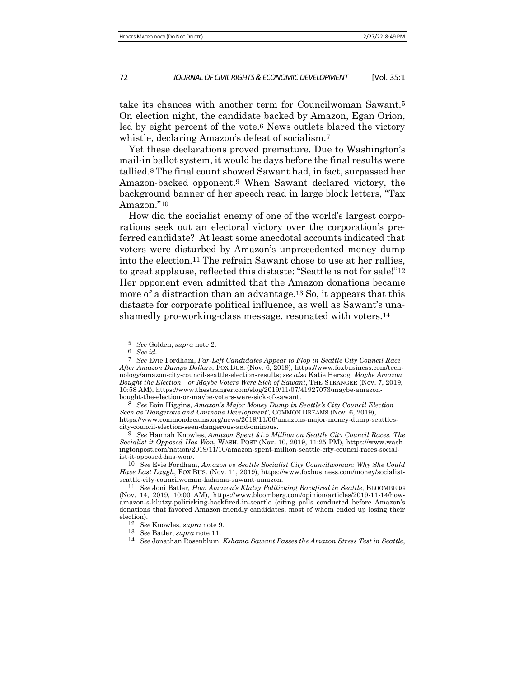take its chances with another term for Councilwoman Sawant.5 On election night, the candidate backed by Amazon, Egan Orion, led by eight percent of the vote.6 News outlets blared the victory whistle, declaring Amazon's defeat of socialism.7

Yet these declarations proved premature. Due to Washington's mail-in ballot system, it would be days before the final results were tallied.8 The final count showed Sawant had, in fact, surpassed her Amazon-backed opponent.9 When Sawant declared victory, the background banner of her speech read in large block letters, "Tax Amazon."10

How did the socialist enemy of one of the world's largest corporations seek out an electoral victory over the corporation's preferred candidate? At least some anecdotal accounts indicated that voters were disturbed by Amazon's unprecedented money dump into the election.11 The refrain Sawant chose to use at her rallies, to great applause, reflected this distaste: "Seattle is not for sale!"12 Her opponent even admitted that the Amazon donations became more of a distraction than an advantage.13 So, it appears that this distaste for corporate political influence, as well as Sawant's unashamedly pro-working-class message, resonated with voters.14

9 *See* Hannah Knowles, *Amazon Spent \$1.5 Million on Seattle City Council Races. The Socialist it Opposed Has Won*, WASH. POST (Nov. 10, 2019, 11:25 PM), https://www.washingtonpost.com/nation/2019/11/10/amazon-spent-million-seattle-city-council-races-socialist-it-opposed-has-won/.

10 *See* Evie Fordham, *Amazon vs Seattle Socialist City Councilwoman: Why She Could Have Last Laugh*, FOX BUS. (Nov. 11, 2019), https://www.foxbusiness.com/money/socialistseattle-city-councilwoman-kshama-sawant-amazon.

<sup>5</sup> *See* Golden, *supra* note 2.

<sup>6</sup> *See id.*

<sup>7</sup> *See* Evie Fordham, *Far-Left Candidates Appear to Flop in Seattle City Council Race After Amazon Dumps Dollars*, FOX BUS. (Nov. 6, 2019), https://www.foxbusiness.com/technology/amazon-city-council-seattle-election-results; *see also* Katie Herzog, *Maybe Amazon Bought the Election—or Maybe Voters Were Sick of Sawant*, THE STRANGER (Nov. 7, 2019, 10:58 AM), https://www.thestranger.com/slog/2019/11/07/41927073/maybe-amazonbought-the-election-or-maybe-voters-were-sick-of-sawant.

<sup>8</sup> *See* Eoin Higgins, *Amazon's Major Money Dump in Seattle's City Council Election Seen as 'Dangerous and Ominous Development'*, COMMON DREAMS (Nov. 6, 2019), https://www.commondreams.org/news/2019/11/06/amazons-major-money-dump-seattlescity-council-election-seen-dangerous-and-ominous.

<sup>11</sup> *See* Joni Batler, *How Amazon's Klutzy Politicking Backfired in Seattle*, BLOOMBERG (Nov. 14, 2019, 10:00 AM), https://www.bloomberg.com/opinion/articles/2019-11-14/howamazon-s-klutzy-politicking-backfired-in-seattle (citing polls conducted before Amazon's donations that favored Amazon-friendly candidates, most of whom ended up losing their election).

<sup>12</sup> *See* Knowles, *supra* note 9.

<sup>13</sup> *See* Batler, *supra* note 11.

<sup>14</sup> *See* Jonathan Rosenblum, *Kshama Sawant Passes the Amazon Stress Test in Seattle*,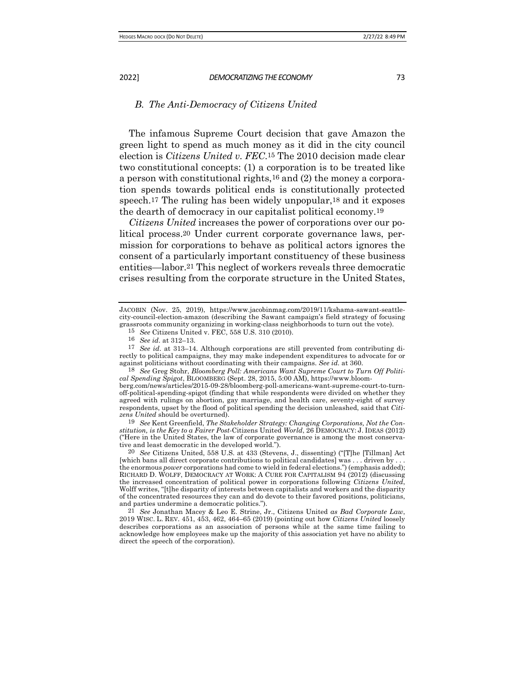#### *B. The Anti-Democracy of Citizens United*

The infamous Supreme Court decision that gave Amazon the green light to spend as much money as it did in the city council election is *Citizens United v. FEC*.15 The 2010 decision made clear two constitutional concepts: (1) a corporation is to be treated like a person with constitutional rights,16 and (2) the money a corporation spends towards political ends is constitutionally protected speech.17 The ruling has been widely unpopular,18 and it exposes the dearth of democracy in our capitalist political economy.19

*Citizens United* increases the power of corporations over our political process.20 Under current corporate governance laws, permission for corporations to behave as political actors ignores the consent of a particularly important constituency of these business entities—labor.21 This neglect of workers reveals three democratic crises resulting from the corporate structure in the United States,

19 *See* Kent Greenfield, *The Stakeholder Strategy: Changing Corporations, Not the Constitution, is the Key to a Fairer Post-*Citizens United *World*, 26 DEMOCRACY: J. IDEAS (2012) ("Here in the United States, the law of corporate governance is among the most conservative and least democratic in the developed world.").

20 *See* Citizens United, 558 U.S. at 433 (Stevens, J., dissenting) ("[T]he [Tillman] Act [which bans all direct corporate contributions to political candidates] was . . . driven by . . . the enormous *power* corporations had come to wield in federal elections.") (emphasis added); RICHARD D. WOLFF, DEMOCRACY AT WORK: A CURE FOR CAPITALISM 94 (2012) (discussing the increased concentration of political power in corporations following *Citizens United*, Wolff writes, "[t]he disparity of interests between capitalists and workers and the disparity of the concentrated resources they can and do devote to their favored positions, politicians, and parties undermine a democratic politics.").

21 *See* Jonathan Macey & Leo E. Strine, Jr., Citizens United *as Bad Corporate Law*, 2019 WISC. L. REV. 451, 453, 462, 464–65 (2019) (pointing out how *Citizens United* loosely describes corporations as an association of persons while at the same time failing to acknowledge how employees make up the majority of this association yet have no ability to direct the speech of the corporation).

JACOBIN (Nov. 25, 2019), https://www.jacobinmag.com/2019/11/kshama-sawant-seattlecity-council-election-amazon (describing the Sawant campaign's field strategy of focusing grassroots community organizing in working-class neighborhoods to turn out the vote).

<sup>15</sup> *See* Citizens United v. FEC, 558 U.S. 310 (2010).

<sup>16</sup> *See id*. at 312–13.

<sup>17</sup> *See id*. at 313–14. Although corporations are still prevented from contributing directly to political campaigns, they may make independent expenditures to advocate for or against politicians without coordinating with their campaigns. *See id.* at 360.

<sup>18</sup> *See* Greg Stohr, *Bloomberg Poll: Americans Want Supreme Court to Turn Off Political Spending Spigot*, BLOOMBERG (Sept. 28, 2015, 5:00 AM), https://www.bloom-

berg.com/news/articles/2015-09-28/bloomberg-poll-americans-want-supreme-court-to-turnoff-political-spending-spigot (finding that while respondents were divided on whether they agreed with rulings on abortion, gay marriage, and health care, seventy-eight of survey respondents, upset by the flood of political spending the decision unleashed, said that *Citizens United* should be overturned).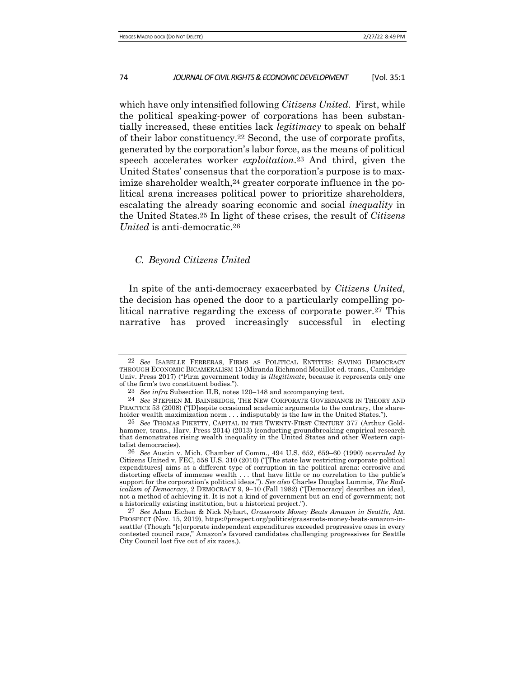which have only intensified following *Citizens United*. First, while the political speaking-power of corporations has been substantially increased, these entities lack *legitimacy* to speak on behalf of their labor constituency.22 Second, the use of corporate profits, generated by the corporation's labor force, as the means of political speech accelerates worker *exploitation*.23 And third, given the United States' consensus that the corporation's purpose is to maximize shareholder wealth,<sup>24</sup> greater corporate influence in the political arena increases political power to prioritize shareholders, escalating the already soaring economic and social *inequality* in the United States.25 In light of these crises, the result of *Citizens United* is anti-democratic.26

### *C. Beyond Citizens United*

In spite of the anti-democracy exacerbated by *Citizens United*, the decision has opened the door to a particularly compelling political narrative regarding the excess of corporate power.27 This narrative has proved increasingly successful in electing

<sup>22</sup> *See* ISABELLE FERRERAS, FIRMS AS POLITICAL ENTITIES: SAVING DEMOCRACY THROUGH ECONOMIC BICAMERALISM 13 (Miranda Richmond Mouillot ed. trans., Cambridge Univ. Press 2017) ("Firm government today is *illegitimate*, because it represents only one of the firm's two constituent bodies.").

<sup>23</sup> *See infra* Subsection II.B, notes 120–148 and accompanying text.

<sup>24</sup> *See* STEPHEN M. BAINBRIDGE, THE NEW CORPORATE GOVERNANCE IN THEORY AND PRACTICE 53 (2008) ("[D]espite occasional academic arguments to the contrary, the shareholder wealth maximization norm . . . indisputably is the law in the United States.").

<sup>25</sup> *See* THOMAS PIKETTY, CAPITAL IN THE TWENTY-FIRST CENTURY 377 (Arthur Goldhammer, trans., Harv. Press 2014) (2013) (conducting groundbreaking empirical research that demonstrates rising wealth inequality in the United States and other Western capitalist democracies).

<sup>26</sup> *See* Austin v. Mich. Chamber of Comm., 494 U.S. 652, 659–60 (1990) *overruled by*  Citizens United v. FEC, 558 U.S. 310 (2010) ("[The state law restricting corporate political expenditures] aims at a different type of corruption in the political arena: corrosive and distorting effects of immense wealth . . . that have little or no correlation to the public's support for the corporation's political ideas."). *See also* Charles Douglas Lummis, *The Radicalism of Democracy*, 2 DEMOCRACY 9, 9–10 (Fall 1982) ("[Democracy] describes an ideal, not a method of achieving it. It is not a kind of government but an end of government; not a historically existing institution, but a historical project.").

<sup>27</sup> *See* Adam Eichen & Nick Nyhart, *Grassroots Money Beats Amazon in Seattle*, AM. PROSPECT (Nov. 15, 2019), https://prospect.org/politics/grassroots-money-beats-amazon-inseattle/ (Though "[c]orporate independent expenditures exceeded progressive ones in every contested council race," Amazon's favored candidates challenging progressives for Seattle City Council lost five out of six races.).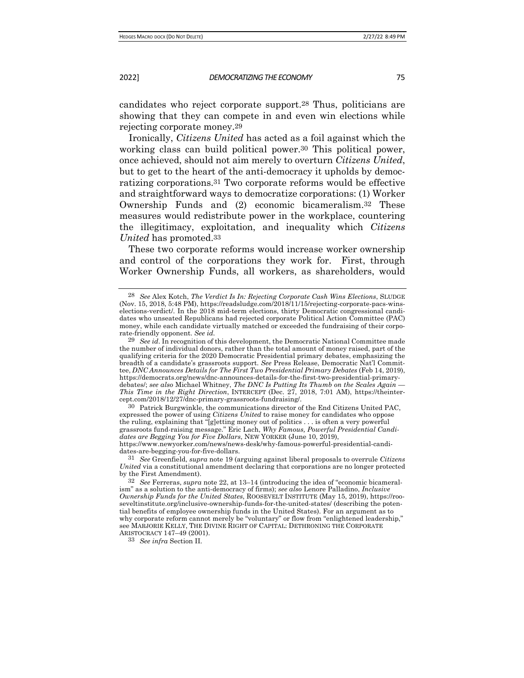candidates who reject corporate support.28 Thus, politicians are showing that they can compete in and even win elections while rejecting corporate money.29

Ironically, *Citizens United* has acted as a foil against which the working class can build political power.<sup>30</sup> This political power, once achieved, should not aim merely to overturn *Citizens United*, but to get to the heart of the anti-democracy it upholds by democratizing corporations.31 Two corporate reforms would be effective and straightforward ways to democratize corporations: (1) Worker Ownership Funds and (2) economic bicameralism.32 These measures would redistribute power in the workplace, countering the illegitimacy, exploitation, and inequality which *Citizens United* has promoted.33

These two corporate reforms would increase worker ownership and control of the corporations they work for. First, through Worker Ownership Funds, all workers, as shareholders, would

30 Patrick Burgwinkle, the communications director of the End Citizens United PAC, expressed the power of using *Citizens United* to raise money for candidates who oppose the ruling, explaining that "[g]etting money out of politics . . . is often a very powerful grassroots fund-raising message." Eric Lach, *Why Famous, Powerful Presidential Candidates are Begging You for Five Dollars*, NEW YORKER (June 10, 2019), https://www.newyorker.com/news/news-desk/why-famous-powerful-presidential-candidates-are-begging-you-for-five-dollars.

31 *See* Greenfield, *supra* note 19 (arguing against liberal proposals to overrule *Citizens United* via a constitutional amendment declaring that corporations are no longer protected by the First Amendment).

33 *See infra* Section II*.*

<sup>28</sup> *See* Alex Kotch, *The Verdict Is In: Rejecting Corporate Cash Wins Elections*, SLUDGE (Nov. 15, 2018, 5:48 PM), https://readsludge.com/2018/11/15/rejecting-corporate-pacs-winselections-verdict/. In the 2018 mid-term elections, thirty Democratic congressional candidates who unseated Republicans had rejected corporate Political Action Committee (PAC) money, while each candidate virtually matched or exceeded the fundraising of their corporate-friendly opponent. *See id.*

<sup>29</sup> *See id*. In recognition of this development, the Democratic National Committee made the number of individual donors, rather than the total amount of money raised, part of the qualifying criteria for the 2020 Democratic Presidential primary debates, emphasizing the breadth of a candidate's grassroots support. *See* Press Release, Democratic Nat'l Committee, *DNC Announces Details for The First Two Presidential Primary Debates* (Feb 14, 2019), https://democrats.org/news/dnc-announces-details-for-the-first-two-presidential-primarydebates/; *see also* Michael Whitney, *The DNC Is Putting Its Thumb on the Scales Again — This Time in the Right Direction*, INTERCEPT (Dec. 27, 2018, 7:01 AM), https://theintercept.com/2018/12/27/dnc-primary-grassroots-fundraising/.

<sup>32</sup> *See* Ferreras, *supra* note 22, at 13–14 (introducing the idea of "economic bicameralism" as a solution to the anti-democracy of firms); *see also* Lenore Palladino, *Inclusive Ownership Funds for the United States*, ROOSEVELT INSTITUTE (May 15, 2019), https://rooseveltinstitute.org/inclusive-ownership-funds-for-the-united-states/ (describing the potential benefits of employee ownership funds in the United States). For an argument as to why corporate reform cannot merely be "voluntary" or flow from "enlightened leadership," see MARJORIE KELLY, THE DIVINE RIGHT OF CAPITAL: DETHRONING THE CORPORATE ARISTOCRACY 147–49 (2001).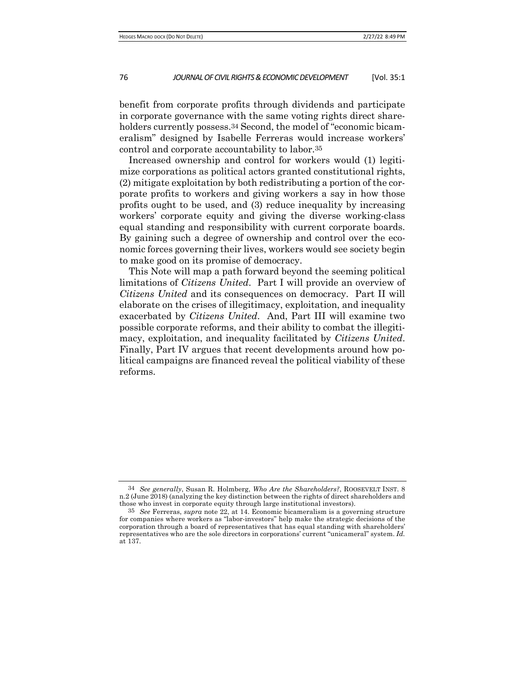benefit from corporate profits through dividends and participate in corporate governance with the same voting rights direct shareholders currently possess.<sup>34</sup> Second, the model of "economic bicameralism" designed by Isabelle Ferreras would increase workers' control and corporate accountability to labor.35

Increased ownership and control for workers would (1) legitimize corporations as political actors granted constitutional rights, (2) mitigate exploitation by both redistributing a portion of the corporate profits to workers and giving workers a say in how those profits ought to be used, and (3) reduce inequality by increasing workers' corporate equity and giving the diverse working-class equal standing and responsibility with current corporate boards. By gaining such a degree of ownership and control over the economic forces governing their lives, workers would see society begin to make good on its promise of democracy.

This Note will map a path forward beyond the seeming political limitations of *Citizens United*. Part I will provide an overview of *Citizens United* and its consequences on democracy. Part II will elaborate on the crises of illegitimacy, exploitation, and inequality exacerbated by *Citizens United*. And, Part III will examine two possible corporate reforms, and their ability to combat the illegitimacy, exploitation, and inequality facilitated by *Citizens United*. Finally, Part IV argues that recent developments around how political campaigns are financed reveal the political viability of these reforms.

<sup>34</sup> *See generally*, Susan R. Holmberg, *Who Are the Shareholders?*, ROOSEVELT INST. 8 n.2 (June 2018) (analyzing the key distinction between the rights of direct shareholders and those who invest in corporate equity through large institutional investors).

<sup>35</sup> *See* Ferreras, *supra* note 22, at 14. Economic bicameralism is a governing structure for companies where workers as "labor-investors" help make the strategic decisions of the corporation through a board of representatives that has equal standing with shareholders' representatives who are the sole directors in corporations' current "unicameral" system. *Id.* at 137.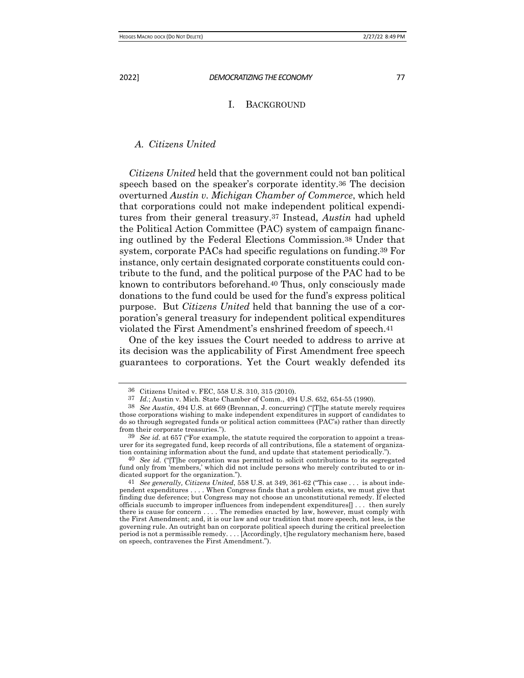# I. BACKGROUND

#### *A. Citizens United*

*Citizens United* held that the government could not ban political speech based on the speaker's corporate identity.36 The decision overturned *Austin v. Michigan Chamber of Commerce*, which held that corporations could not make independent political expenditures from their general treasury.37 Instead, *Austin* had upheld the Political Action Committee (PAC) system of campaign financing outlined by the Federal Elections Commission.38 Under that system, corporate PACs had specific regulations on funding.39 For instance, only certain designated corporate constituents could contribute to the fund, and the political purpose of the PAC had to be known to contributors beforehand.40 Thus, only consciously made donations to the fund could be used for the fund's express political purpose. But *Citizens United* held that banning the use of a corporation's general treasury for independent political expenditures violated the First Amendment's enshrined freedom of speech.41

One of the key issues the Court needed to address to arrive at its decision was the applicability of First Amendment free speech guarantees to corporations. Yet the Court weakly defended its

 $\frac{36}{37}$  Citizens United v. FEC, 558 U.S. 310, 315 (2010).<br> $\frac{37}{37}$  *Id* · Austin v. Mich. State Chamber of Comm. 494

Id.; Austin v. Mich. State Chamber of Comm., 494 U.S. 652, 654-55 (1990).

<sup>38</sup> *See Austin*, 494 U.S. at 669 (Brennan, J. concurring) ("[T]he statute merely requires those corporations wishing to make independent expenditures in support of candidates to do so through segregated funds or political action committees (PAC's) rather than directly from their corporate treasuries.").

<sup>39</sup> *See id.* at 657 ("For example, the statute required the corporation to appoint a treasurer for its segregated fund, keep records of all contributions, file a statement of organization containing information about the fund, and update that statement periodically.").

<sup>40</sup> *See id.* ("[T]he corporation was permitted to solicit contributions to its segregated fund only from 'members,' which did not include persons who merely contributed to or indicated support for the organization.").

<sup>41</sup> *See generally, Citizens United*, 558 U.S. at 349, 361-62 ("This case . . . is about independent expenditures . . . . When Congress finds that a problem exists, we must give that finding due deference; but Congress may not choose an unconstitutional remedy. If elected officials succumb to improper influences from independent expenditures[] . . . then surely there is cause for concern . . . . The remedies enacted by law, however, must comply with the First Amendment; and, it is our law and our tradition that more speech, not less, is the governing rule. An outright ban on corporate political speech during the critical preelection period is not a permissible remedy. . . . [Accordingly, t]he regulatory mechanism here, based on speech, contravenes the First Amendment.").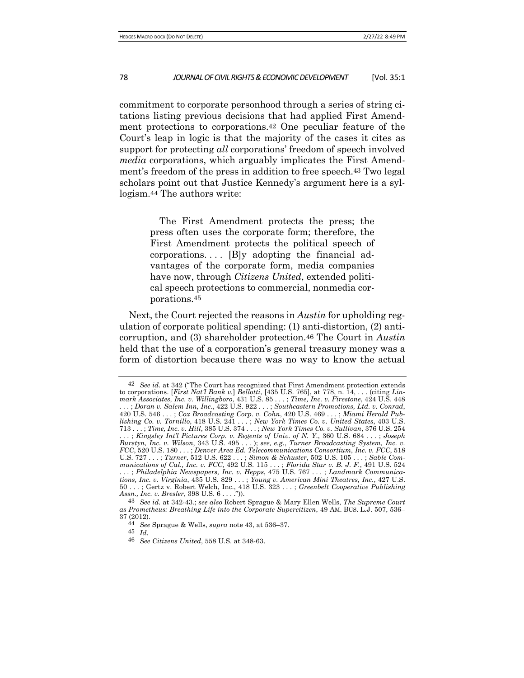commitment to corporate personhood through a series of string citations listing previous decisions that had applied First Amendment protections to corporations.42 One peculiar feature of the Court's leap in logic is that the majority of the cases it cites as support for protecting *all* corporations' freedom of speech involved *media* corporations, which arguably implicates the First Amendment's freedom of the press in addition to free speech.43 Two legal scholars point out that Justice Kennedy's argument here is a syllogism.44 The authors write:

> The First Amendment protects the press; the press often uses the corporate form; therefore, the First Amendment protects the political speech of  $corportions...$  [B]y adopting the financial advantages of the corporate form, media companies have now, through *Citizens United*, extended political speech protections to commercial, nonmedia corporations.45

Next, the Court rejected the reasons in *Austin* for upholding regulation of corporate political spending: (1) anti-distortion, (2) anticorruption, and (3) shareholder protection.46 The Court in *Austin*  held that the use of a corporation's general treasury money was a form of distortion because there was no way to know the actual

<sup>42</sup> *See id.* at 342 ("The Court has recognized that First Amendment protection extends to corporations. [*First Nat'l Bank v.*] *Bellotti*, [435 U.S. 765], at 778, n. 14, . . . (citing *Linmark Associates, Inc. v. Willingboro*, 431 U.S. 85 . . . ; *Time, Inc. v. Firestone*, 424 U.S. 448 . . . ; *Doran v. Salem Inn, Inc*., 422 U.S. 922 . . . ; *Southeastern Promotions, Ltd. v. Conrad*, 420 U.S. 546 . . . ; *Cox Broadcasting Corp. v. Cohn*, 420 U.S. 469 . . . ; *Miami Herald Publishing Co. v. Tornillo*, 418 U.S. 241 . . . ; *New York Times Co. v. United States*, 403 U.S. 713 . . . ; *Time, Inc. v. Hill*, 385 U.S. 374 . . . ; *New York Times Co. v. Sullivan*, 376 U.S. 254 . . . ; *Kingsley Int'l Pictures Corp. v. Regents of Univ. of N. Y*., 360 U.S. 684 . . . ; *Joseph Burstyn, Inc. v. Wilson*, 343 U.S. 495 . . . ); *see, e.g.*, *Turner Broadcasting System, Inc. v. FCC*, 520 U.S. 180 . . . ; *Denver Area Ed. Telecommunications Consortium, Inc. v. FCC*, 518 U.S. 727 . . . ; *Turner*, 512 U.S. 622 . . . ; *Simon & Schuster*, 502 U.S. 105 . . . ; *Sable Communications of Cal., Inc. v. FCC*, 492 U.S. 115 . . . ; *Florida Star v. B. J. F.*, 491 U.S. 524 . . . ; *Philadelphia Newspapers, Inc. v. Hepps*, 475 U.S. 767 . . . ; *Landmark Communications, Inc. v. Virginia*, 435 U.S. 829 . . . ; *Young v. American Mini Theatres, Inc.*, 427 U.S. 50 . . . ; Gertz v. Robert Welch, Inc., 418 U.S. 323 . . . ; *Greenbelt Cooperative Publishing Assn., Inc. v. Bresler*, 398 U.S. 6 . . . .")).

<sup>43</sup> *See id.* at 342-43*.*; *see also* Robert Sprague & Mary Ellen Wells, *The Supreme Court as Prometheus: Breathing Life into the Corporate Supercitizen*, 49 AM. BUS. L.J. 507, 536– 37 (2012).

<sup>44</sup> *See* Sprague & Wells, *supra* note 43, at 536–37.

<sup>45</sup> *Id*. 46 *See Citizens United*, 558 U.S. at 348-63.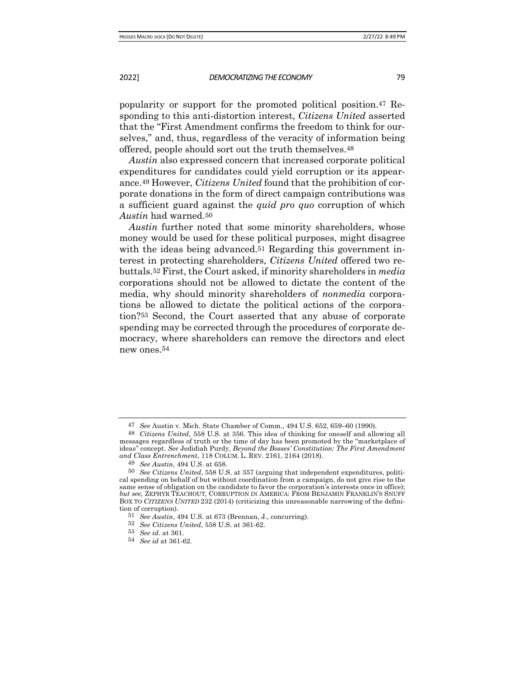popularity or support for the promoted political position.47 Responding to this anti-distortion interest, *Citizens United* asserted that the "First Amendment confirms the freedom to think for ourselves," and, thus, regardless of the veracity of information being offered, people should sort out the truth themselves.48

*Austin* also expressed concern that increased corporate political expenditures for candidates could yield corruption or its appearance.49 However, *Citizens United* found that the prohibition of corporate donations in the form of direct campaign contributions was a sufficient guard against the *quid pro quo* corruption of which *Austin* had warned.50

*Austin* further noted that some minority shareholders, whose money would be used for these political purposes, might disagree with the ideas being advanced.<sup>51</sup> Regarding this government interest in protecting shareholders, *Citizens United* offered two rebuttals.52 First, the Court asked, if minority shareholders in *media* corporations should not be allowed to dictate the content of the media, why should minority shareholders of *nonmedia* corporations be allowed to dictate the political actions of the corporation?53 Second, the Court asserted that any abuse of corporate spending may be corrected through the procedures of corporate democracy, where shareholders can remove the directors and elect new ones.54

<sup>47</sup> *See* Austin v. Mich. State Chamber of Comm., 494 U.S. 652, 659–60 (1990).

<sup>48</sup> *Citizens United*, 558 U.S. at 356. This idea of thinking for oneself and allowing all messages regardless of truth or the time of day has been promoted by the "marketplace of ideas" concept. *See* Jedidiah Purdy, *Beyond the Bosses' Constitution: The First Amendment and Class Entrenchment*, 118 COLUM. L. REV. 2161, 2164 (2018).

<sup>49</sup> *See Austin*, 494 U.S. at 658.

<sup>50</sup> *See Citizens United*, 558 U.S. at 357 (arguing that independent expenditures, political spending on behalf of but without coordination from a campaign, do not give rise to the same sense of obligation on the candidate to favor the corporation's interests once in office); *but see,* ZEPHYR TEACHOUT, CORRUPTION IN AMERICA: FROM BENJAMIN FRANKLIN'S SNUFF BOX TO *CITIZENS UNITED* 232 (2014) (criticizing this unreasonable narrowing of the definition of corruption).

<sup>51</sup> *See Austin*, 494 U.S. at 673 (Brennan, J., concurring).

<sup>52</sup> *See Citizens United*, 558 U.S. at 361-62.

<sup>53</sup> *See id.* at 361.

<sup>54</sup> *See id* at 361-62*.*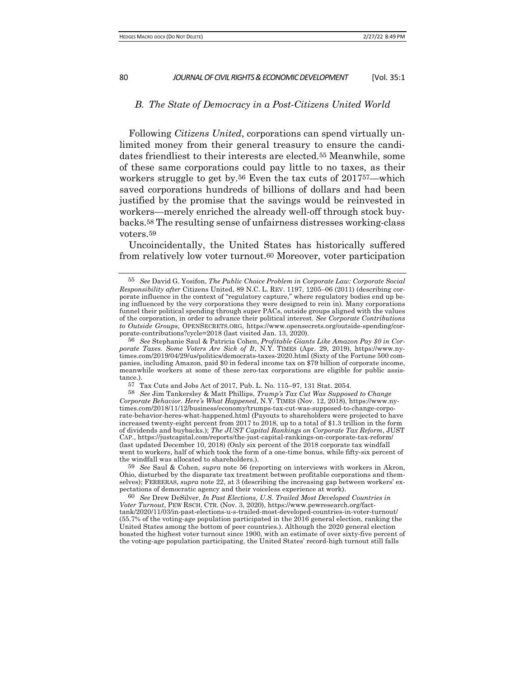#### *B. The State of Democracy in a Post-Citizens United World*

Following *Citizens United*, corporations can spend virtually unlimited money from their general treasury to ensure the candidates friendliest to their interests are elected.55 Meanwhile, some of these same corporations could pay little to no taxes, as their workers struggle to get by.56 Even the tax cuts of 201757—which saved corporations hundreds of billions of dollars and had been justified by the promise that the savings would be reinvested in workers—merely enriched the already well-off through stock buybacks.58 The resulting sense of unfairness distresses working-class voters.59

Uncoincidentally, the United States has historically suffered from relatively low voter turnout.60 Moreover, voter participation

<sup>55</sup> *See* David G. Yosifon, *The Public Choice Problem in Corporate Law: Corporate Social Responsibility after* Citizens United, 89 N.C. L. REV. 1197, 1205–06 (2011) (describing corporate influence in the context of "regulatory capture," where regulatory bodies end up being influenced by the very corporations they were designed to rein in). Many corporations funnel their political spending through super PACs, outside groups aligned with the values of the corporation, in order to advance their political interest. *See Corporate Contributions to Outside Groups*, OPENSECRETS.ORG, https://www.opensecrets.org/outside-spending/corporate-contributions?cycle=2018 (last visited Jan. 13, 2020).

<sup>56</sup> *See* Stephanie Saul & Patricia Cohen, *Profitable Giants Like Amazon Pay \$0 in Corporate Taxes. Some Voters Are Sick of It*, N.Y. TIMES (Apr. 29, 2019), https://www.nytimes.com/2019/04/29/us/politics/democrats-taxes-2020.html (Sixty of the Fortune 500 companies, including Amazon, paid \$0 in federal income tax on \$79 billion of corporate income, meanwhile workers at some of these zero-tax corporations are eligible for public assistance.).

<sup>57</sup> Tax Cuts and Jobs Act of 2017, Pub. L. No. 115–97, 131 Stat. 2054.

<sup>58</sup> *See* Jim Tankersley & Matt Phillips, *Trump's Tax Cut Was Supposed to Change Corporate Behavior. Here's What Happened*, N.Y. TIMES (Nov. 12, 2018), https://www.nytimes.com/2018/11/12/business/economy/trumps-tax-cut-was-supposed-to-change-corporate-behavior-heres-what-happened.html (Payouts to shareholders were projected to have increased twenty-eight percent from 2017 to 2018, up to a total of \$1.3 trillion in the form of dividends and buybacks.); *The JUST Capital Rankings on Corporate Tax Reform*, JUST CAP., https://justcapital.com/reports/the-just-capital-rankings-on-corporate-tax-reform/ (last updated December 10, 2018) (Only six percent of the 2018 corporate tax windfall went to workers, half of which took the form of a one-time bonus, while fifty-six percent of the windfall was allocated to shareholders.).

<sup>59</sup> *See* Saul & Cohen, *supra* note 56 (reporting on interviews with workers in Akron, Ohio, disturbed by the disparate tax treatment between profitable corporations and themselves); FERRERAS, *supra* note 22, at 3 (describing the increasing gap between workers' expectations of democratic agency and their voiceless experience at work).

<sup>60</sup> *See* Drew DeSilver, *In Past Elections, U.S. Trailed Most Developed Countries in Voter Turnout*, PEW RSCH. CTR. (Nov. 3, 2020), https://www.pewresearch.org/facttank/2020/11/03/in-past-elections-u-s-trailed-most-developed-countries-in-voter-turnout/ (55.7% of the voting-age population participated in the  $2016$  general election, ranking the United States among the bottom of peer countries.). Although the 2020 general election boasted the highest voter turnout since 1900, with an estimate of over sixty-five percent of the voting-age population participating, the United States' record-high turnout still falls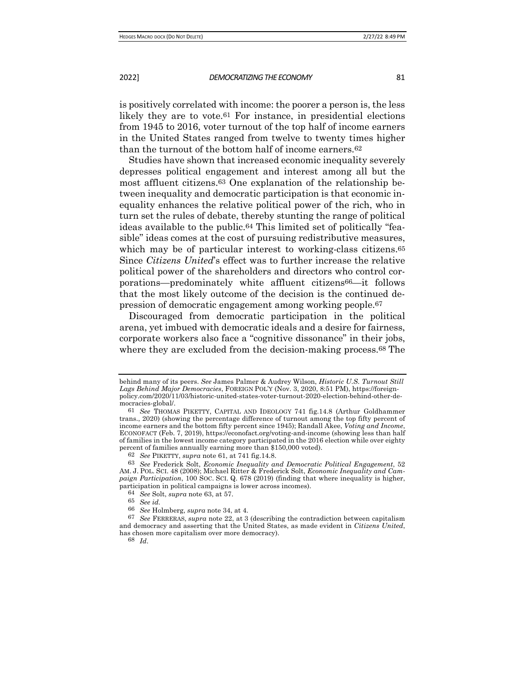is positively correlated with income: the poorer a person is, the less likely they are to vote.61 For instance, in presidential elections from 1945 to 2016, voter turnout of the top half of income earners in the United States ranged from twelve to twenty times higher than the turnout of the bottom half of income earners.62

Studies have shown that increased economic inequality severely depresses political engagement and interest among all but the most affluent citizens.63 One explanation of the relationship between inequality and democratic participation is that economic inequality enhances the relative political power of the rich, who in turn set the rules of debate, thereby stunting the range of political ideas available to the public.64 This limited set of politically "feasible" ideas comes at the cost of pursuing redistributive measures, which may be of particular interest to working-class citizens.<sup>65</sup> Since *Citizens United*'s effect was to further increase the relative political power of the shareholders and directors who control corporations—predominately white affluent citizens66—it follows that the most likely outcome of the decision is the continued depression of democratic engagement among working people.67

Discouraged from democratic participation in the political arena, yet imbued with democratic ideals and a desire for fairness, corporate workers also face a "cognitive dissonance" in their jobs, where they are excluded from the decision-making process.<sup>68</sup> The

68 *Id*.

behind many of its peers. *See* James Palmer & Audrey Wilson, *Historic U.S. Turnout Still Lags Behind Major Democracies*, FOREIGN POL'Y (Nov. 3, 2020, 8:51 PM), https://foreignpolicy.com/2020/11/03/historic-united-states-voter-turnout-2020-election-behind-other-democracies-global/.

<sup>61</sup> *See* THOMAS PIKETTY, CAPITAL AND IDEOLOGY 741 fig.14.8 (Arthur Goldhammer trans., 2020) (showing the percentage difference of turnout among the top fifty percent of income earners and the bottom fifty percent since 1945); Randall Akee, *Voting and Income*, ECONOFACT (Feb. 7, 2019), https://econofact.org/voting-and-income (showing less than half of families in the lowest income category participated in the 2016 election while over eighty percent of families annually earning more than \$150,000 voted).

<sup>62</sup> *See* PIKETTY, *supra* note 61, at 741 fig.14.8.

<sup>63</sup> *See* Frederick Solt, *Economic Inequality and Democratic Political Engagement*, 52 AM. J. POL. SCI. 48 (2008); Michael Ritter & Frederick Solt, *Economic Inequality and Campaign Participation*, 100 SOC. SCI. Q. 678 (2019) (finding that where inequality is higher, participation in political campaigns is lower across incomes).

<sup>64</sup> *See* Solt, *supra* note 63, at 57.

<sup>65</sup> *See id.*

<sup>66</sup> *See* Holmberg, *supra* note 34, at 4.

<sup>67</sup> *See* FERRERAS, *supra* note 22, at 3 (describing the contradiction between capitalism and democracy and asserting that the United States, as made evident in *Citizens United*, has chosen more capitalism over more democracy).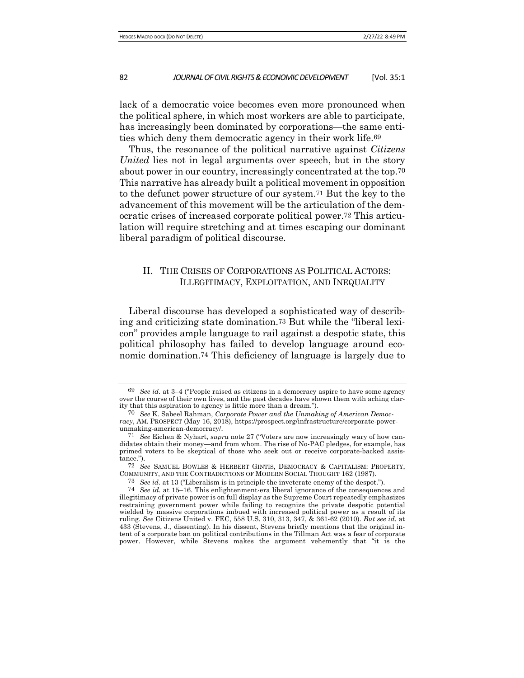lack of a democratic voice becomes even more pronounced when the political sphere, in which most workers are able to participate, has increasingly been dominated by corporations—the same entities which deny them democratic agency in their work life.69

Thus, the resonance of the political narrative against *Citizens United* lies not in legal arguments over speech, but in the story about power in our country, increasingly concentrated at the top.70 This narrative has already built a political movement in opposition to the defunct power structure of our system.71 But the key to the advancement of this movement will be the articulation of the democratic crises of increased corporate political power.72 This articulation will require stretching and at times escaping our dominant liberal paradigm of political discourse.

# II. THE CRISES OF CORPORATIONS AS POLITICAL ACTORS: ILLEGITIMACY, EXPLOITATION, AND INEQUALITY

Liberal discourse has developed a sophisticated way of describing and criticizing state domination.73 But while the "liberal lexicon" provides ample language to rail against a despotic state, this political philosophy has failed to develop language around economic domination.74 This deficiency of language is largely due to

73 *See id.* at 13 ("Liberalism is in principle the inveterate enemy of the despot.").

<sup>69</sup> *See id.* at 3–4 ("People raised as citizens in a democracy aspire to have some agency over the course of their own lives, and the past decades have shown them with aching clarity that this aspiration to agency is little more than a dream.").

<sup>70</sup> *See* K. Sabeel Rahman, *Corporate Power and the Unmaking of American Democracy*, AM. PROSPECT (May 16, 2018), https://prospect.org/infrastructure/corporate-powerunmaking-american-democracy/.

<sup>71</sup> *See* Eichen & Nyhart, *supra* note 27 ("Voters are now increasingly wary of how candidates obtain their money—and from whom. The rise of No-PAC pledges, for example, has primed voters to be skeptical of those who seek out or receive corporate-backed assistance.").

<sup>72</sup> *See* SAMUEL BOWLES & HERBERT GINTIS, DEMOCRACY & CAPITALISM: PROPERTY, COMMUNITY, AND THE CONTRADICTIONS OF MODERN SOCIAL THOUGHT 162 (1987).

<sup>74</sup> *See id.* at 15–16. This enlightenment-era liberal ignorance of the consequences and illegitimacy of private power is on full display as the Supreme Court repeatedly emphasizes restraining government power while failing to recognize the private despotic potential wielded by massive corporations imbued with increased political power as a result of its ruling. *See* Citizens United v. FEC, 558 U.S. 310, 313, 347, & 361-62 (2010). *But see id.* at 433 (Stevens, J., dissenting). In his dissent, Stevens briefly mentions that the original intent of a corporate ban on political contributions in the Tillman Act was a fear of corporate power. However, while Stevens makes the argument vehemently that "it is the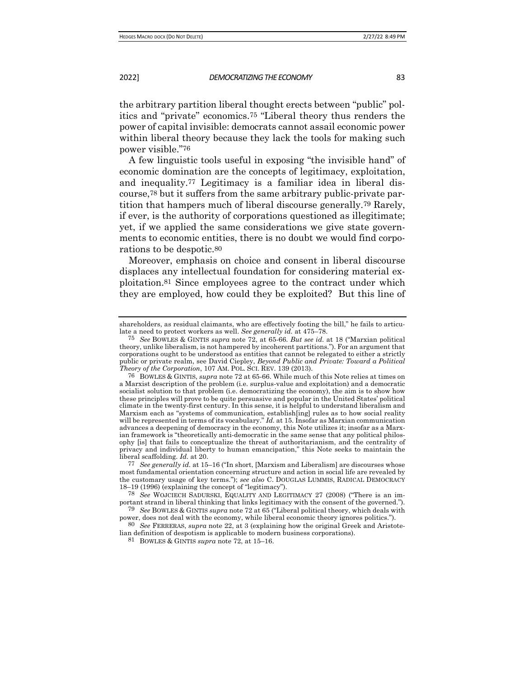the arbitrary partition liberal thought erects between "public" politics and "private" economics.75 "Liberal theory thus renders the power of capital invisible: democrats cannot assail economic power within liberal theory because they lack the tools for making such power visible."76

A few linguistic tools useful in exposing "the invisible hand" of economic domination are the concepts of legitimacy, exploitation, and inequality.77 Legitimacy is a familiar idea in liberal discourse,78 but it suffers from the same arbitrary public-private partition that hampers much of liberal discourse generally.79 Rarely, if ever, is the authority of corporations questioned as illegitimate; yet, if we applied the same considerations we give state governments to economic entities, there is no doubt we would find corporations to be despotic.80

Moreover, emphasis on choice and consent in liberal discourse displaces any intellectual foundation for considering material exploitation.81 Since employees agree to the contract under which they are employed, how could they be exploited? But this line of

power, does not deal with the economy, while liberal economic theory ignores politics.").

80 *See* FERRERAS, *supra* note 22, at 3 (explaining how the original Greek and Aristotelian definition of despotism is applicable to modern business corporations).

81 BOWLES & GINTIS *supra* note 72, at 15–16.

shareholders, as residual claimants, who are effectively footing the bill," he fails to articulate a need to protect workers as well. *See generally id.* at 475–78.

<sup>75</sup> *See* BOWLES & GINTIS *supra* note 72, at 65-66. *But see id.* at 18 ("Marxian political theory, unlike liberalism, is not hampered by incoherent partitions."). For an argument that corporations ought to be understood as entities that cannot be relegated to either a strictly public or private realm, see David Ciepley, *Beyond Public and Private: Toward a Political Theory of the Corporation*, 107 AM. POL. SCI. REV. 139 (2013).

<sup>76</sup> BOWLES & GINTIS, *supra* note 72 at 65-66. While much of this Note relies at times on a Marxist description of the problem (i.e. surplus-value and exploitation) and a democratic socialist solution to that problem (i.e. democratizing the economy), the aim is to show how these principles will prove to be quite persuasive and popular in the United States' political climate in the twenty-first century. In this sense, it is helpful to understand liberalism and Marxism each as "systems of communication, establish[ing] rules as to how social reality will be represented in terms of its vocabulary." *Id.* at 15. Insofar as Marxian communication advances a deepening of democracy in the economy, this Note utilizes it; insofar as a Marxian framework is "theoretically anti-democratic in the same sense that any political philosophy [is] that fails to conceptualize the threat of authoritarianism, and the centrality of privacy and individual liberty to human emancipation," this Note seeks to maintain the liberal scaffolding. *Id.* at 20.

<sup>77</sup> *See generally id.* at 15–16 ("In short, [Marxism and Liberalism] are discourses whose most fundamental orientation concerning structure and action in social life are revealed by the customary usage of key terms."); *see also* C. DOUGLAS LUMMIS, RADICAL DEMOCRACY 18–19 (1996) (explaining the concept of "legitimacy").

<sup>78</sup> *See* WOJCIECH SADURSKI, EQUALITY AND LEGITIMACY 27 (2008) ("There is an important strand in liberal thinking that links legitimacy with the consent of the governed."). 79 *See* BOWLES & GINTIS *supra* note 72 at 65 ("Liberal political theory, which deals with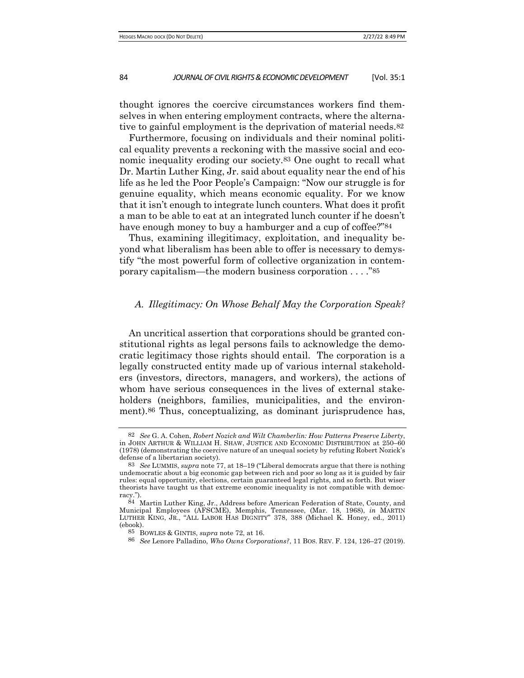thought ignores the coercive circumstances workers find themselves in when entering employment contracts, where the alternative to gainful employment is the deprivation of material needs.82

Furthermore, focusing on individuals and their nominal political equality prevents a reckoning with the massive social and economic inequality eroding our society.83 One ought to recall what Dr. Martin Luther King, Jr. said about equality near the end of his life as he led the Poor People's Campaign: "Now our struggle is for genuine equality, which means economic equality. For we know that it isn't enough to integrate lunch counters. What does it profit a man to be able to eat at an integrated lunch counter if he doesn't have enough money to buy a hamburger and a cup of coffee?"84

Thus, examining illegitimacy, exploitation, and inequality beyond what liberalism has been able to offer is necessary to demystify "the most powerful form of collective organization in contemporary capitalism—the modern business corporation . . . ."85

# *A. Illegitimacy: On Whose Behalf May the Corporation Speak?*

An uncritical assertion that corporations should be granted constitutional rights as legal persons fails to acknowledge the democratic legitimacy those rights should entail. The corporation is a legally constructed entity made up of various internal stakeholders (investors, directors, managers, and workers), the actions of whom have serious consequences in the lives of external stakeholders (neighbors, families, municipalities, and the environment).86 Thus, conceptualizing, as dominant jurisprudence has,

<sup>82</sup> *See* G. A. Cohen, *Robert Nozick and Wilt Chamberlin: How Patterns Preserve Liberty*, in JOHN ARTHUR & WILLIAM H. SHAW, JUSTICE AND ECONOMIC DISTRIBUTION at 250–60 (1978) (demonstrating the coercive nature of an unequal society by refuting Robert Nozick's defense of a libertarian society).

<sup>83</sup> *See* LUMMIS, *supra* note 77, at 18–19 ("Liberal democrats argue that there is nothing undemocratic about a big economic gap between rich and poor so long as it is guided by fair rules: equal opportunity, elections, certain guaranteed legal rights, and so forth. But wiser theorists have taught us that extreme economic inequality is not compatible with democracy.").

<sup>84</sup> Martin Luther King, Jr., Address before American Federation of State, County, and Municipal Employees (AFSCME), Memphis, Tennessee, (Mar. 18, 1968), *in* MARTIN LUTHER KING, JR., "ALL LABOR HAS DIGNITY" 378, 388 (Michael K. Honey, ed., 2011) (ebook).

<sup>85</sup> BOWLES & GINTIS, *supra* note 72, at 16.

<sup>86</sup> *See* Lenore Palladino, *Who Owns Corporations?*, 11 BOS. REV. F. 124, 126–27 (2019).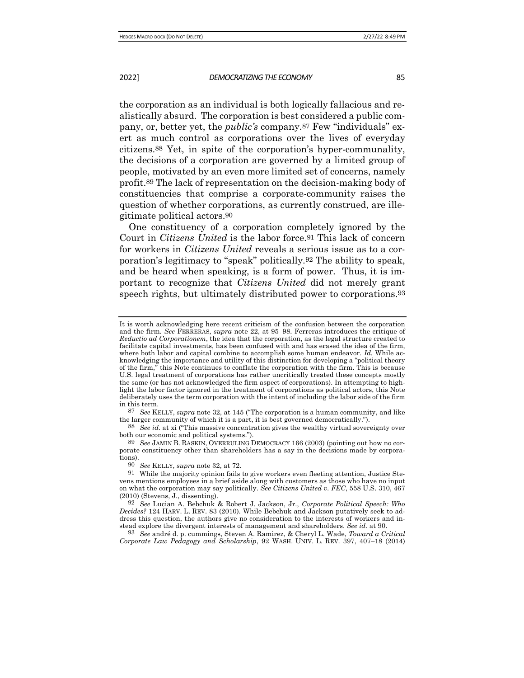the corporation as an individual is both logically fallacious and realistically absurd. The corporation is best considered a public company, or, better yet, the *public's* company.87 Few "individuals" exert as much control as corporations over the lives of everyday citizens.88 Yet, in spite of the corporation's hyper-communality, the decisions of a corporation are governed by a limited group of people, motivated by an even more limited set of concerns, namely profit.89 The lack of representation on the decision-making body of constituencies that comprise a corporate-community raises the question of whether corporations, as currently construed, are illegitimate political actors.90

One constituency of a corporation completely ignored by the Court in *Citizens United* is the labor force.91 This lack of concern for workers in *Citizens United* reveals a serious issue as to a corporation's legitimacy to "speak" politically.92 The ability to speak, and be heard when speaking, is a form of power. Thus, it is important to recognize that *Citizens United* did not merely grant speech rights, but ultimately distributed power to corporations.93

88 *See id.* at xi ("This massive concentration gives the wealthy virtual sovereignty over both our economic and political systems.").

89 *See* JAMIN B. RASKIN, OVERRULING DEMOCRACY 166 (2003) (pointing out how no corporate constituency other than shareholders has a say in the decisions made by corporations).

93 *See* andré d. p. cummings, Steven A. Ramirez, & Cheryl L. Wade, *Toward a Critical Corporate Law Pedagogy and Scholarship*, 92 WASH. UNIV. L. REV. 397, 407–18 (2014)

It is worth acknowledging here recent criticism of the confusion between the corporation and the firm. *See* FERRERAS, *supra* note 22, at 95–98. Ferreras introduces the critique of *Reductio ad Corporationem*, the idea that the corporation, as the legal structure created to facilitate capital investments, has been confused with and has erased the idea of the firm, where both labor and capital combine to accomplish some human endeavor. *Id.* While acknowledging the importance and utility of this distinction for developing a "political theory of the firm," this Note continues to conflate the corporation with the firm. This is because U.S. legal treatment of corporations has rather uncritically treated these concepts mostly the same (or has not acknowledged the firm aspect of corporations). In attempting to highlight the labor factor ignored in the treatment of corporations as political actors, this Note deliberately uses the term corporation with the intent of including the labor side of the firm in this term.

<sup>87</sup> *See* KELLY, *supra* note 32, at 145 ("The corporation is a human community, and like the larger community of which it is a part, it is best governed democratically.").

<sup>90</sup> *See* KELLY, *supra* note 32, at 72.

<sup>91</sup> While the majority opinion fails to give workers even fleeting attention, Justice Stevens mentions employees in a brief aside along with customers as those who have no input on what the corporation may say politically. *See Citizens United v. FEC*, 558 U.S. 310, 467 (2010) (Stevens, J., dissenting).

<sup>92</sup> *See* Lucian A. Bebchuk & Robert J. Jackson, Jr., *Corporate Political Speech: Who Decides?* 124 HARV. L. REV. 83 (2010). While Bebchuk and Jackson putatively seek to address this question, the authors give no consideration to the interests of workers and instead explore the divergent interests of management and shareholders. *See id.* at 90.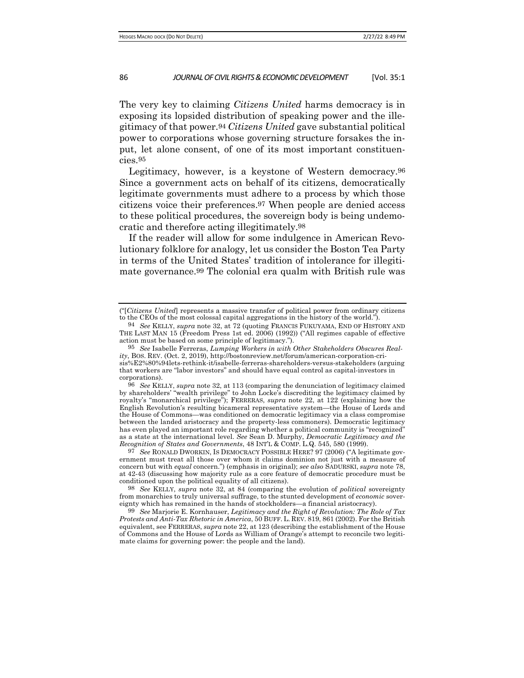The very key to claiming *Citizens United* harms democracy is in exposing its lopsided distribution of speaking power and the illegitimacy of that power.94 *Citizens United* gave substantial political power to corporations whose governing structure forsakes the input, let alone consent, of one of its most important constituencies.95

Legitimacy, however, is a keystone of Western democracy.96 Since a government acts on behalf of its citizens, democratically legitimate governments must adhere to a process by which those citizens voice their preferences.97 When people are denied access to these political procedures, the sovereign body is being undemocratic and therefore acting illegitimately.98

If the reader will allow for some indulgence in American Revolutionary folklore for analogy, let us consider the Boston Tea Party in terms of the United States' tradition of intolerance for illegitimate governance.99 The colonial era qualm with British rule was

<sup>(&</sup>quot;[*Citizens United*] represents a massive transfer of political power from ordinary citizens to the CEOs of the most colossal capital aggregations in the history of the world.").

<sup>94</sup> *See* KELLY, *supra* note 32, at 72 (quoting FRANCIS FUKUYAMA, END OF HISTORY AND THE LAST MAN 15 (Freedom Press 1st ed. 2006) (1992)) ("All regimes capable of effective action must be based on some principle of legitimacy.").

<sup>95</sup> *See* Isabelle Ferreras, *Lumping Workers in with Other Stakeholders Obscures Reality*, BOS. REV. (Oct. 2, 2019), http://bostonreview.net/forum/american-corporation-crisis%E2%80%94lets-rethink-it/isabelle-ferreras-shareholders-versus-stakeholders (arguing that workers are "labor investors" and should have equal control as capital-investors in corporations).

<sup>96</sup> *See* KELLY, *supra* note 32, at 113 (comparing the denunciation of legitimacy claimed by shareholders' "wealth privilege" to John Locke's discrediting the legitimacy claimed by royalty's "monarchical privilege"); FERRERAS, *supra* note 22, at 122 (explaining how the English Revolution's resulting bicameral representative system—the House of Lords and the House of Commons—was conditioned on democratic legitimacy via a class compromise between the landed aristocracy and the property-less commoners). Democratic legitimacy has even played an important role regarding whether a political community is "recognized" as a state at the international level. *See* Sean D. Murphy, *Democratic Legitimacy and the Recognition of States and Governments*, 48 INT'L & COMP. L.Q. 545, 580 (1999).

<sup>97</sup> *See* RONALD DWORKIN, IS DEMOCRACY POSSIBLE HERE? 97 (2006) ("A legitimate government must treat all those over whom it claims dominion not just with a measure of concern but with *equal* concern.") (emphasis in original); *see also* SADURSKI, *supra* note 78, at 42-43 (discussing how majority rule as a core feature of democratic procedure must be conditioned upon the political equality of all citizens).

<sup>98</sup> *See* KELLY, *supra* note 32, at 84 (comparing the evolution of *political* sovereignty from monarchies to truly universal suffrage, to the stunted development of *economic* sovereignty which has remained in the hands of stockholders—a financial aristocracy).

<sup>99</sup> *See* Marjorie E. Kornhauser, *Legitimacy and the Right of Revolution: The Role of Tax Protests and Anti-Tax Rhetoric in America*, 50 BUFF. L. REV. 819, 861 (2002). For the British equivalent, see FERRERAS, *supra* note 22, at 123 (describing the establishment of the House of Commons and the House of Lords as William of Orange's attempt to reconcile two legitimate claims for governing power: the people and the land).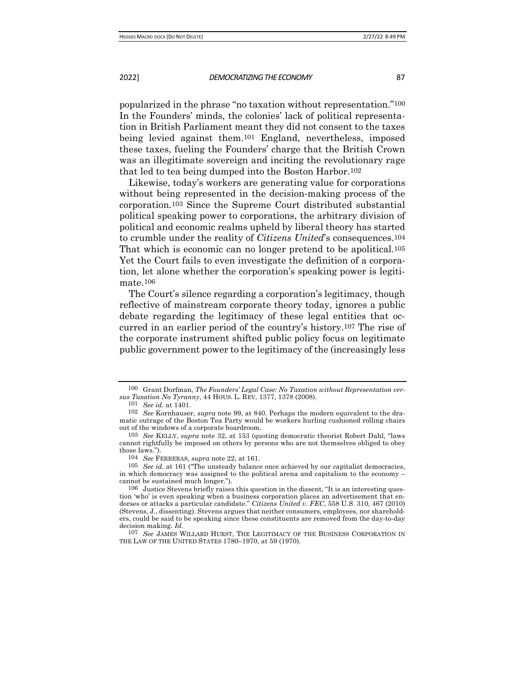popularized in the phrase "no taxation without representation."100 In the Founders' minds, the colonies' lack of political representation in British Parliament meant they did not consent to the taxes being levied against them.101 England, nevertheless, imposed these taxes, fueling the Founders' charge that the British Crown was an illegitimate sovereign and inciting the revolutionary rage that led to tea being dumped into the Boston Harbor.102

Likewise, today's workers are generating value for corporations without being represented in the decision-making process of the corporation.103 Since the Supreme Court distributed substantial political speaking power to corporations, the arbitrary division of political and economic realms upheld by liberal theory has started to crumble under the reality of *Citizens United*'s consequences.104 That which is economic can no longer pretend to be apolitical.105 Yet the Court fails to even investigate the definition of a corporation, let alone whether the corporation's speaking power is legitimate.106

The Court's silence regarding a corporation's legitimacy, though reflective of mainstream corporate theory today, ignores a public debate regarding the legitimacy of these legal entities that occurred in an earlier period of the country's history.107 The rise of the corporate instrument shifted public policy focus on legitimate public government power to the legitimacy of the (increasingly less

<sup>100</sup> Grant Dorfman, *The Founders' Legal Case: No Taxation without Representation versus Taxation No Tyranny*, 44 HOUS. L. REV. 1377, 1378 (2008).

<sup>101</sup> *See id.* at 1401.

<sup>102</sup> *See* Kornhauser, *supra* note 99, at 840. Perhaps the modern equivalent to the dramatic outrage of the Boston Tea Party would be workers hurling cushioned rolling chairs out of the windows of a corporate boardroom.

<sup>103</sup> *See* KELLY, *supra* note 32, at 153 (quoting democratic theorist Robert Dahl, "laws cannot rightfully be imposed on others by persons who are not themselves obliged to obey those laws.").

<sup>104</sup> *See* FERRERAS, *supra* note 22, at 161.

<sup>105</sup> *See id.* at 161 ("The unsteady balance once achieved by our capitalist democracies, in which democracy was assigned to the political arena and capitalism to the economy – cannot be sustained much longer.").

<sup>106</sup> Justice Stevens briefly raises this question in the dissent, "It is an interesting question 'who' is even speaking when a business corporation places an advertisement that endorses or attacks a particular candidate." *Citizens United v. FEC*, 558 U.S. 310, 467 (2010) (Stevens, J., dissenting). Stevens argues that neither consumers, employees, nor shareholders, could be said to be speaking since these constituents are removed from the day-to-day decision making. *Id.* 

<sup>107</sup> *See* JAMES WILLARD HURST, THE LEGITIMACY OF THE BUSINESS CORPORATION IN THE LAW OF THE UNITED STATES 1780–1970, at 59 (1970).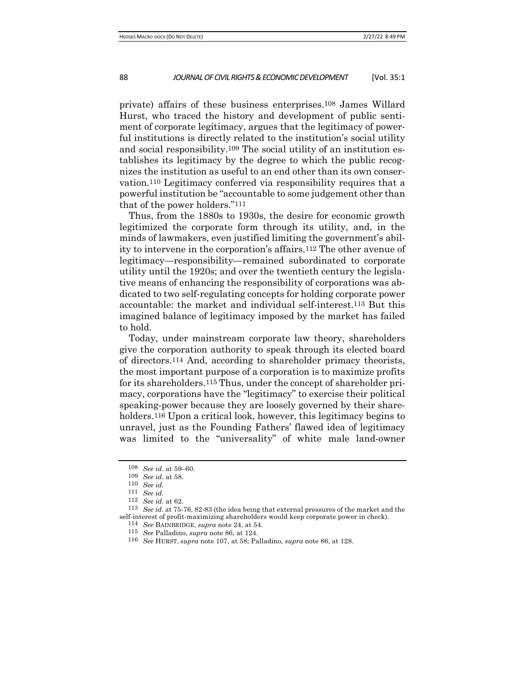private) affairs of these business enterprises.108 James Willard Hurst, who traced the history and development of public sentiment of corporate legitimacy, argues that the legitimacy of powerful institutions is directly related to the institution's social utility and social responsibility.109 The social utility of an institution establishes its legitimacy by the degree to which the public recognizes the institution as useful to an end other than its own conservation.110 Legitimacy conferred via responsibility requires that a powerful institution be "accountable to some judgement other than that of the power holders."111

Thus, from the 1880s to 1930s, the desire for economic growth legitimized the corporate form through its utility, and, in the minds of lawmakers, even justified limiting the government's ability to intervene in the corporation's affairs.112 The other avenue of legitimacy—responsibility—remained subordinated to corporate utility until the 1920s; and over the twentieth century the legislative means of enhancing the responsibility of corporations was abdicated to two self-regulating concepts for holding corporate power accountable: the market and individual self-interest.113 But this imagined balance of legitimacy imposed by the market has failed to hold.

Today, under mainstream corporate law theory, shareholders give the corporation authority to speak through its elected board of directors.114 And, according to shareholder primacy theorists, the most important purpose of a corporation is to maximize profits for its shareholders.115 Thus, under the concept of shareholder primacy, corporations have the "legitimacy" to exercise their political speaking-power because they are loosely governed by their shareholders.<sup>116</sup> Upon a critical look, however, this legitimacy begins to unravel, just as the Founding Fathers' flawed idea of legitimacy was limited to the "universality" of white male land-owner

<sup>108</sup> *See id.* at 59–60.

<sup>109</sup> *See id.* at 58.

<sup>110</sup> *See id.*

<sup>111</sup> *See id.*

<sup>112</sup> *See id.* at 62.

<sup>113</sup> *See id.* at 75-76, 82-83 (the idea being that external pressures of the market and the self-interest of profit-maximizing shareholders would keep corporate power in check).

<sup>114</sup> *See* BAINBRIDGE, *supra* note 24, at 54.

<sup>115</sup> *See* Palladino, *supra* note 86, at 124.

<sup>116</sup> *See* HURST, *supra* note 107, at 58; Palladino, *supra* note 86, at 128.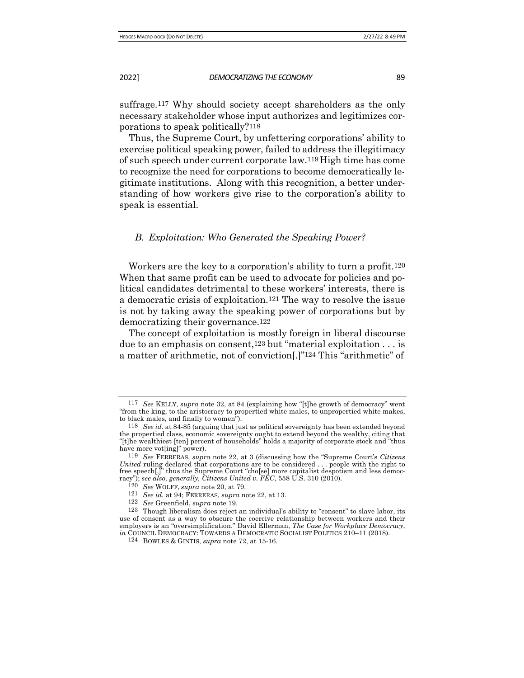suffrage.117 Why should society accept shareholders as the only necessary stakeholder whose input authorizes and legitimizes corporations to speak politically?118

Thus, the Supreme Court, by unfettering corporations' ability to exercise political speaking power, failed to address the illegitimacy of such speech under current corporate law.119 High time has come to recognize the need for corporations to become democratically legitimate institutions. Along with this recognition, a better understanding of how workers give rise to the corporation's ability to speak is essential.

### *B. Exploitation: Who Generated the Speaking Power?*

Workers are the key to a corporation's ability to turn a profit.120 When that same profit can be used to advocate for policies and political candidates detrimental to these workers' interests, there is a democratic crisis of exploitation.121 The way to resolve the issue is not by taking away the speaking power of corporations but by democratizing their governance.122

The concept of exploitation is mostly foreign in liberal discourse due to an emphasis on consent,123 but "material exploitation . . . is a matter of arithmetic, not of conviction[.]"124 This "arithmetic" of

<sup>117</sup> *See* KELLY, *supra* note 32, at 84 (explaining how "[t]he growth of democracy" went "from the king, to the aristocracy to propertied white males, to unpropertied white makes, to black males, and finally to women").

<sup>118</sup> *See id.* at 84-85 (arguing that just as political sovereignty has been extended beyond the propertied class, economic sovereignty ought to extend beyond the wealthy, citing that "[t]he wealthiest [ten] percent of households" holds a majority of corporate stock and "thus have more vot[ing]" power).

<sup>119</sup> *See* FERRERAS, *supra* note 22, at 3 (discussing how the "Supreme Court's *Citizens United* ruling declared that corporations are to be considered . . . people with the right to free speech[,]" thus the Supreme Court "cho[se] more capitalist despotism and less democracy"); *see also, generally, Citizens United v. FEC*, 558 U.S. 310 (2010).

<sup>120</sup> *See* WOLFF, *supra* note 20, at 79.

<sup>121</sup> *See id.* at 94; FERRERAS, *supra* note 22, at 13.

<sup>122</sup> *See* Greenfield, *supra* note 19.

<sup>123</sup> Though liberalism does reject an individual's ability to "consent" to slave labor, its use of consent as a way to obscure the coercive relationship between workers and their employers is an "oversimplification." David Ellerman, *The Case for Workplace Democracy*, *in* COUNCIL DEMOCRACY: TOWARDS A DEMOCRATIC SOCIALIST POLITICS 210-11 (2018).

<sup>124</sup> BOWLES & GINTIS, *supra* note 72, at 15-16.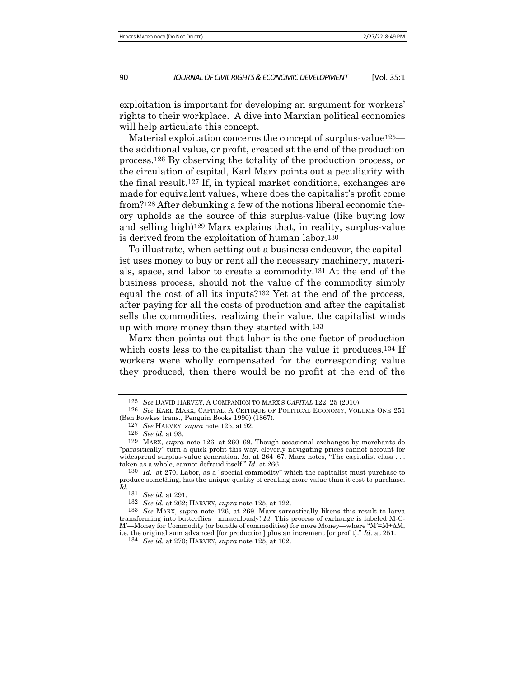exploitation is important for developing an argument for workers' rights to their workplace. A dive into Marxian political economics will help articulate this concept.

Material exploitation concerns the concept of surplus-value125 the additional value, or profit, created at the end of the production process.126 By observing the totality of the production process, or the circulation of capital, Karl Marx points out a peculiarity with the final result.127 If, in typical market conditions, exchanges are made for equivalent values, where does the capitalist's profit come from?128 After debunking a few of the notions liberal economic theory upholds as the source of this surplus-value (like buying low and selling high)129 Marx explains that, in reality, surplus-value is derived from the exploitation of human labor.130

To illustrate, when setting out a business endeavor, the capitalist uses money to buy or rent all the necessary machinery, materials, space, and labor to create a commodity.131 At the end of the business process, should not the value of the commodity simply equal the cost of all its inputs?132 Yet at the end of the process, after paying for all the costs of production and after the capitalist sells the commodities, realizing their value, the capitalist winds up with more money than they started with.133

Marx then points out that labor is the one factor of production which costs less to the capitalist than the value it produces.<sup>134</sup> If workers were wholly compensated for the corresponding value they produced, then there would be no profit at the end of the

<sup>125</sup> *See* DAVID HARVEY, A COMPANION TO MARX'S *CAPITAL* 122–25 (2010).

<sup>126</sup> *See* KARL MARX, CAPITAL: A CRITIQUE OF POLITICAL ECONOMY, VOLUME ONE 251 (Ben Fowkes trans., Penguin Books 1990) (1867).

<sup>127</sup> *See* HARVEY, *supra* note 125, at 92.

<sup>128</sup> *See id.* at 93.

<sup>129</sup> MARX, *supra* note 126, at 260–69. Though occasional exchanges by merchants do "parasitically" turn a quick profit this way, cleverly navigating prices cannot account for widespread surplus-value generation. *Id.* at 264–67. Marx notes, "The capitalist class . . . taken as a whole, cannot defraud itself." *Id.* at 266.

<sup>130</sup> *Id.* at 270. Labor, as a "special commodity" which the capitalist must purchase to produce something, has the unique quality of creating more value than it cost to purchase. *Id.*

See id. at 291.

<sup>132</sup> *See id.* at 262; HARVEY, *supra* note 125, at 122.

<sup>133</sup> *See* MARX, *supra* note 126, at 269. Marx sarcastically likens this result to larva transforming into butterflies—miraculously! *Id.* This process of exchange is labeled M-C-M'—Money for Commodity (or bundle of commodities) for more Money—where "M'=M+∆M, i.e. the original sum advanced [for production] plus an increment [or profit]." *Id.* at 251.

<sup>134</sup> *See id.* at 270; HARVEY, *supra* note 125, at 102.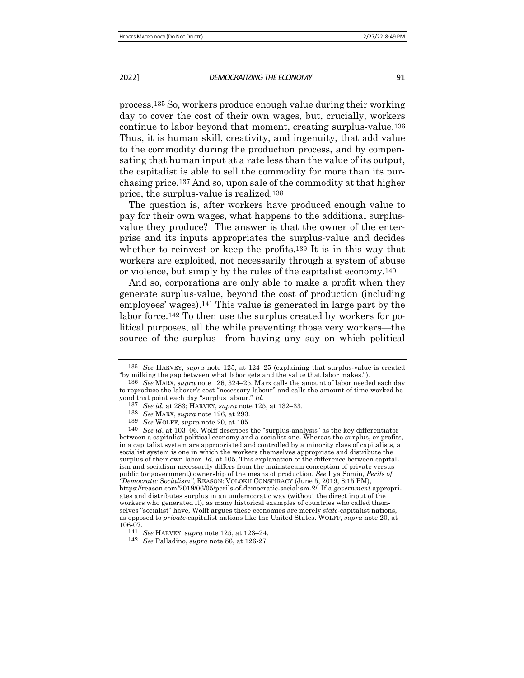process.135 So, workers produce enough value during their working day to cover the cost of their own wages, but, crucially, workers continue to labor beyond that moment, creating surplus-value.136 Thus, it is human skill, creativity, and ingenuity, that add value to the commodity during the production process, and by compensating that human input at a rate less than the value of its output, the capitalist is able to sell the commodity for more than its purchasing price.137 And so, upon sale of the commodity at that higher price, the surplus-value is realized.138

The question is, after workers have produced enough value to pay for their own wages, what happens to the additional surplusvalue they produce? The answer is that the owner of the enterprise and its inputs appropriates the surplus-value and decides whether to reinvest or keep the profits.139 It is in this way that workers are exploited, not necessarily through a system of abuse or violence, but simply by the rules of the capitalist economy.140

And so, corporations are only able to make a profit when they generate surplus-value, beyond the cost of production (including employees' wages).141 This value is generated in large part by the labor force.142 To then use the surplus created by workers for political purposes, all the while preventing those very workers—the source of the surplus—from having any say on which political

<sup>135</sup> *See* HARVEY, *supra* note 125, at 124–25 (explaining that surplus-value is created "by milking the gap between what labor gets and the value that labor makes.").

<sup>136</sup> *See* MARX, *supra* note 126, 324–25. Marx calls the amount of labor needed each day to reproduce the laborer's cost "necessary labour" and calls the amount of time worked beyond that point each day "surplus labour." *Id.*

<sup>137</sup> *See id.* at 283; HARVEY, *supra* note 125, at 132–33.

<sup>138</sup> *See* MARX, *supra* note 126, at 293.

<sup>139</sup> *See* WOLFF, *supra* note 20, at 105.

<sup>140</sup> *See id*. at 103–06. Wolff describes the "surplus-analysis" as the key differentiator between a capitalist political economy and a socialist one. Whereas the surplus, or profits, in a capitalist system are appropriated and controlled by a minority class of capitalists, a socialist system is one in which the workers themselves appropriate and distribute the surplus of their own labor. *Id.* at 105. This explanation of the difference between capitalism and socialism necessarily differs from the mainstream conception of private versus public (or government) ownership of the means of production. *See* Ilya Somin, *Perils of "Democratic Socialism"*, REASON: VOLOKH CONSPIRACY (June 5, 2019, 8:15 PM), https://reason.com/2019/06/05/perils-of-democratic-socialism-2/. If a *government* appropriates and distributes surplus in an undemocratic way (without the direct input of the workers who generated it), as many historical examples of countries who called themselves "socialist" have, Wolff argues these economies are merely *state*-capitalist nations, as opposed to *private*-capitalist nations like the United States. WOLFF, *supra* note 20, at 106-07.

<sup>141</sup> *See* HARVEY, *supra* note 125, at 123–24.

<sup>142</sup> *See* Palladino, *supra* note 86, at 126-27.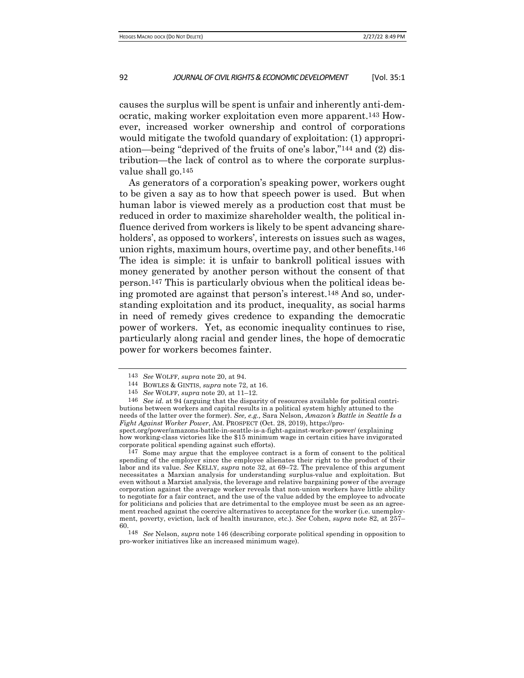causes the surplus will be spent is unfair and inherently anti-democratic, making worker exploitation even more apparent.143 However, increased worker ownership and control of corporations would mitigate the twofold quandary of exploitation: (1) appropriation—being "deprived of the fruits of one's labor,"144 and (2) distribution—the lack of control as to where the corporate surplusvalue shall go.145

As generators of a corporation's speaking power, workers ought to be given a say as to how that speech power is used. But when human labor is viewed merely as a production cost that must be reduced in order to maximize shareholder wealth, the political influence derived from workers is likely to be spent advancing shareholders', as opposed to workers', interests on issues such as wages, union rights, maximum hours, overtime pay, and other benefits.146 The idea is simple: it is unfair to bankroll political issues with money generated by another person without the consent of that person.147 This is particularly obvious when the political ideas being promoted are against that person's interest.148 And so, understanding exploitation and its product, inequality, as social harms in need of remedy gives credence to expanding the democratic power of workers. Yet, as economic inequality continues to rise, particularly along racial and gender lines, the hope of democratic power for workers becomes fainter.

146 *See id.* at 94 (arguing that the disparity of resources available for political contributions between workers and capital results in a political system highly attuned to the needs of the latter over the former). *See, e.g.,* Sara Nelson, *Amazon's Battle in Seattle Is a Fight Against Worker Power*, AM. PROSPECT (Oct. 28, 2019), https://pro-

spect.org/power/amazons-battle-in-seattle-is-a-fight-against-worker-power/ (explaining how working-class victories like the \$15 minimum wage in certain cities have invigorated corporate political spending against such efforts).

147 Some may argue that the employee contract is a form of consent to the political spending of the employer since the employee alienates their right to the product of their labor and its value. *See* KELLY, *supra* note 32, at 69–72. The prevalence of this argument necessitates a Marxian analysis for understanding surplus-value and exploitation. But even without a Marxist analysis, the leverage and relative bargaining power of the average corporation against the average worker reveals that non-union workers have little ability to negotiate for a fair contract, and the use of the value added by the employee to advocate for politicians and policies that are detrimental to the employee must be seen as an agreement reached against the coercive alternatives to acceptance for the worker (i.e. unemployment, poverty, eviction, lack of health insurance, etc.). *See* Cohen, *supra* note 82, at 257– 60.

148 *See* Nelson, *supra* note 146 (describing corporate political spending in opposition to pro-worker initiatives like an increased minimum wage).

<sup>143</sup> *See* WOLFF, *supra* note 20, at 94.

<sup>144</sup> BOWLES & GINTIS, *supra* note 72, at 16.

<sup>145</sup> *See* WOLFF, *supra* note 20, at 11–12.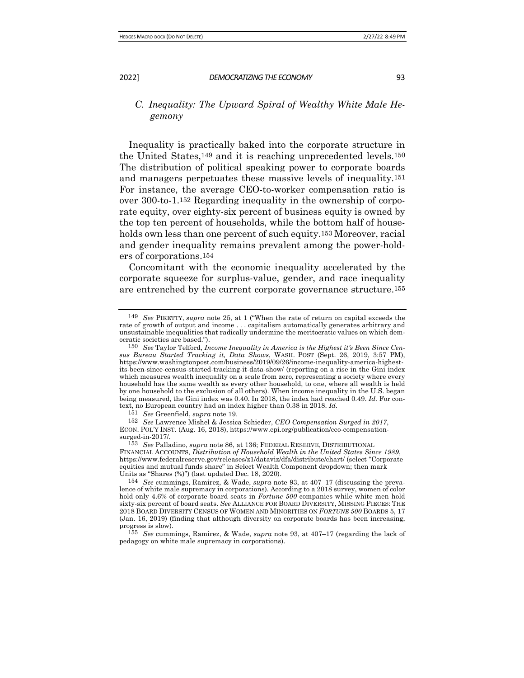# *C. Inequality: The Upward Spiral of Wealthy White Male Hegemony*

Inequality is practically baked into the corporate structure in the United States,149 and it is reaching unprecedented levels.150 The distribution of political speaking power to corporate boards and managers perpetuates these massive levels of inequality.151 For instance, the average CEO-to-worker compensation ratio is over 300-to-1.152 Regarding inequality in the ownership of corporate equity, over eighty-six percent of business equity is owned by the top ten percent of households, while the bottom half of households own less than one percent of such equity.<sup>153</sup> Moreover, racial and gender inequality remains prevalent among the power-holders of corporations.154

Concomitant with the economic inequality accelerated by the corporate squeeze for surplus-value, gender, and race inequality are entrenched by the current corporate governance structure.155

151 *See* Greenfield, *supra* note 19.

152 *See* Lawrence Mishel & Jessica Schieder, *CEO Compensation Surged in 2017*, ECON. POL'Y INST. (Aug. 16, 2018), https://www.epi.org/publication/ceo-compensationsurged-in-2017/.

155 *See* cummings, Ramirez, & Wade, *supra* note 93, at 407–17 (regarding the lack of pedagogy on white male supremacy in corporations).

<sup>149</sup> *See* PIKETTY, *supra* note 25, at 1 ("When the rate of return on capital exceeds the rate of growth of output and income . . . capitalism automatically generates arbitrary and unsustainable inequalities that radically undermine the meritocratic values on which democratic societies are based.").

<sup>150</sup> *See* Taylor Telford, *Income Inequality in America is the Highest it's Been Since Census Bureau Started Tracking it, Data Shows*, WASH. POST (Sept. 26, 2019, 3:57 PM), https://www.washingtonpost.com/business/2019/09/26/income-inequality-america-highestits-been-since-census-started-tracking-it-data-show/ (reporting on a rise in the Gini index which measures wealth inequality on a scale from zero, representing a society where every household has the same wealth as every other household, to one, where all wealth is held by one household to the exclusion of all others). When income inequality in the U.S. began being measured, the Gini index was 0.40. In 2018, the index had reached 0.49. *Id.* For context, no European country had an index higher than 0.38 in 2018. *Id.*

<sup>153</sup> *See* Palladino, *supra* note 86, at 136; FEDERAL RESERVE, DISTRIBUTIONAL FINANCIAL ACCOUNTS, *Distribution of Household Wealth in the United States Since 1989*, https://www.federalreserve.gov/releases/z1/dataviz/dfa/distribute/chart/ (select "Corporate equities and mutual funds share" in Select Wealth Component dropdown; then mark Units as "Shares (%)") (last updated Dec. 18, 2020).

<sup>154</sup> *See* cummings, Ramirez, & Wade, *supra* note 93, at 407–17 (discussing the prevalence of white male supremacy in corporations). According to a 2018 survey, women of color hold only 4.6% of corporate board seats in *Fortune 500* companies while white men hold sixty-six percent of board seats. *See* ALLIANCE FOR BOARD DIVERSITY, MISSING PIECES: THE 2018 BOARD DIVERSITY CENSUS OF WOMEN AND MINORITIES ON *FORTUNE 500* BOARDS 5, 17 (Jan. 16, 2019) (finding that although diversity on corporate boards has been increasing, progress is slow).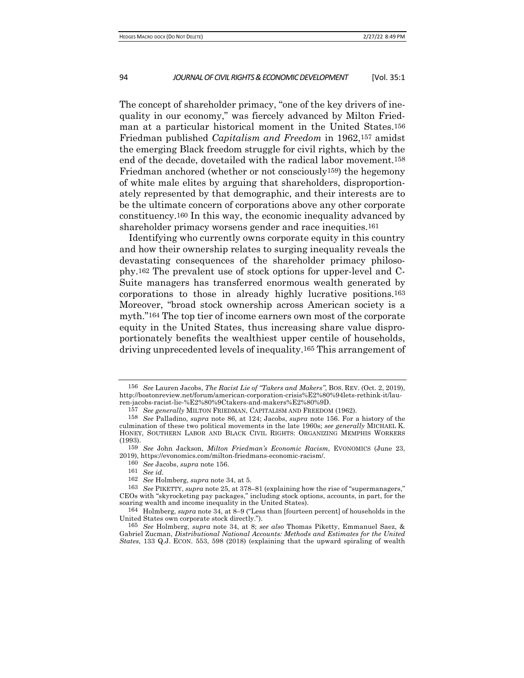The concept of shareholder primacy, "one of the key drivers of inequality in our economy," was fiercely advanced by Milton Friedman at a particular historical moment in the United States.156 Friedman published *Capitalism and Freedom* in 1962,157 amidst the emerging Black freedom struggle for civil rights, which by the end of the decade, dovetailed with the radical labor movement.158 Friedman anchored (whether or not consciously159) the hegemony of white male elites by arguing that shareholders, disproportionately represented by that demographic, and their interests are to be the ultimate concern of corporations above any other corporate constituency.160 In this way, the economic inequality advanced by shareholder primacy worsens gender and race inequities.161

Identifying who currently owns corporate equity in this country and how their ownership relates to surging inequality reveals the devastating consequences of the shareholder primacy philosophy.162 The prevalent use of stock options for upper-level and C-Suite managers has transferred enormous wealth generated by corporations to those in already highly lucrative positions.163 Moreover, "broad stock ownership across American society is a myth."164 The top tier of income earners own most of the corporate equity in the United States, thus increasing share value disproportionately benefits the wealthiest upper centile of households, driving unprecedented levels of inequality.165 This arrangement of

<sup>156</sup> *See* Lauren Jacobs, *The Racist Lie of "Takers and Makers"*, BOS. REV. (Oct. 2, 2019), http://bostonreview.net/forum/american-corporation-crisis%E2%80%94lets-rethink-it/lauren-jacobs-racist-lie-%E2%80%9Ctakers-and-makers%E2%80%9D.

<sup>157</sup> *See generally* MILTON FRIEDMAN, CAPITALISM AND FREEDOM (1962).

<sup>158</sup> *See* Palladino, *supra* note 86, at 124; Jacobs, *supra* note 156. For a history of the culmination of these two political movements in the late 1960s; *see generally* MICHAEL K. HONEY, SOUTHERN LABOR AND BLACK CIVIL RIGHTS: ORGANIZING MEMPHIS WORKERS  $(1993)$ .<br>159

<sup>159</sup> *See* John Jackson, *Milton Friedman's Economic Racism*, EVONOMICS (June 23, 2019), https://evonomics.com/milton-friedmans-economic-racism/.

<sup>160</sup> *See* Jacobs, *supra* note 156.

<sup>161</sup> *See id.*

<sup>162</sup> *See* Holmberg, *supra* note 34, at 5.

<sup>163</sup> *See* PIKETTY, *supra* note 25, at 378–81 (explaining how the rise of "supermanagers," CEOs with "skyrocketing pay packages," including stock options, accounts, in part, for the soaring wealth and income inequality in the United States).

<sup>164</sup> Holmberg, *supra* note 34, at 8–9 ("Less than [fourteen percent] of households in the United States own corporate stock directly.").

<sup>165</sup> *See* Holmberg, *supra* note 34, at 8; *see also* Thomas Piketty, Emmanuel Saez, & Gabriel Zucman, *Distributional National Accounts: Methods and Estimates for the United States*, 133 Q.J. ECON. 553, 598 (2018) (explaining that the upward spiraling of wealth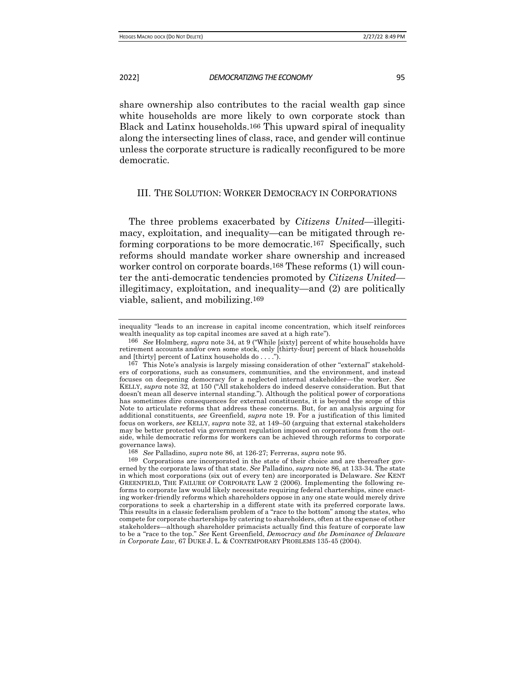share ownership also contributes to the racial wealth gap since white households are more likely to own corporate stock than Black and Latinx households.166 This upward spiral of inequality along the intersecting lines of class, race, and gender will continue unless the corporate structure is radically reconfigured to be more democratic.

# III. THE SOLUTION: WORKER DEMOCRACY IN CORPORATIONS

The three problems exacerbated by *Citizens United*—illegitimacy, exploitation, and inequality—can be mitigated through reforming corporations to be more democratic.167 Specifically, such reforms should mandate worker share ownership and increased worker control on corporate boards.168 These reforms (1) will counter the anti-democratic tendencies promoted by *Citizens United* illegitimacy, exploitation, and inequality—and (2) are politically viable, salient, and mobilizing.169

inequality "leads to an increase in capital income concentration, which itself reinforces wealth inequality as top capital incomes are saved at a high rate").

<sup>166</sup> *See* Holmberg, *supra* note 34, at 9 ("While [sixty] percent of white households have retirement accounts and/or own some stock, only [thirty-four] percent of black households and [thirty] percent of Latinx households do . . . .").

<sup>167</sup> This Note's analysis is largely missing consideration of other "external" stakeholders of corporations, such as consumers, communities, and the environment, and instead focuses on deepening democracy for a neglected internal stakeholder—the worker. *See*  KELLY, *supra* note 32, at 150 ("All stakeholders do indeed deserve consideration. But that doesn't mean all deserve internal standing."). Although the political power of corporations has sometimes dire consequences for external constituents, it is beyond the scope of this Note to articulate reforms that address these concerns. But, for an analysis arguing for additional constituents, *see* Greenfield, *supra* note 19. For a justification of this limited focus on workers, *see* KELLY, *supra* note 32, at 149–50 (arguing that external stakeholders may be better protected via government regulation imposed on corporations from the outside, while democratic reforms for workers can be achieved through reforms to corporate governance laws).

<sup>168</sup> *See* Palladino, *supra* note 86, at 126-27; Ferreras, *supra* note 95.

<sup>169</sup> Corporations are incorporated in the state of their choice and are thereafter governed by the corporate laws of that state. *See* Palladino, *supra* note 86, at 133-34. The state in which most corporations (six out of every ten) are incorporated is Delaware. *See* KENT GREENFIELD, THE FAILURE OF CORPORATE LAW 2 (2006). Implementing the following reforms to corporate law would likely necessitate requiring federal charterships, since enacting worker-friendly reforms which shareholders oppose in any one state would merely drive corporations to seek a chartership in a different state with its preferred corporate laws. This results in a classic federalism problem of a "race to the bottom" among the states, who compete for corporate charterships by catering to shareholders, often at the expense of other stakeholders—although shareholder primacists actually find this feature of corporate law to be a "race to the top." *See* Kent Greenfield, *Democracy and the Dominance of Delaware in Corporate Law*, 67 DUKE J. L. & CONTEMPORARY PROBLEMS 135-45 (2004).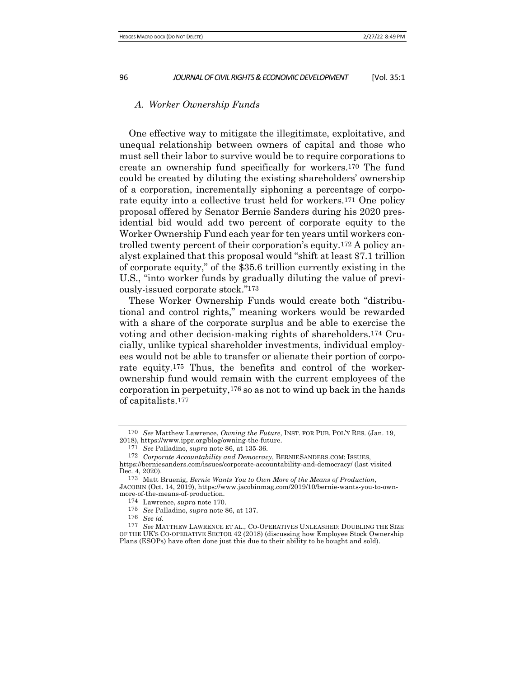#### *A. Worker Ownership Funds*

One effective way to mitigate the illegitimate, exploitative, and unequal relationship between owners of capital and those who must sell their labor to survive would be to require corporations to create an ownership fund specifically for workers.170 The fund could be created by diluting the existing shareholders' ownership of a corporation, incrementally siphoning a percentage of corporate equity into a collective trust held for workers.171 One policy proposal offered by Senator Bernie Sanders during his 2020 presidential bid would add two percent of corporate equity to the Worker Ownership Fund each year for ten years until workers controlled twenty percent of their corporation's equity.172 A policy analyst explained that this proposal would "shift at least \$7.1 trillion of corporate equity," of the \$35.6 trillion currently existing in the U.S., "into worker funds by gradually diluting the value of previously-issued corporate stock."173

These Worker Ownership Funds would create both "distributional and control rights," meaning workers would be rewarded with a share of the corporate surplus and be able to exercise the voting and other decision-making rights of shareholders.174 Crucially, unlike typical shareholder investments, individual employees would not be able to transfer or alienate their portion of corporate equity.175 Thus, the benefits and control of the workerownership fund would remain with the current employees of the corporation in perpetuity,176 so as not to wind up back in the hands of capitalists.177

176 *See id.*

<sup>170</sup> *See* Matthew Lawrence, *Owning the Future*, INST. FOR PUB. POL'Y RES. (Jan. 19, 2018), https://www.ippr.org/blog/owning-the-future.

<sup>171</sup> *See* Palladino, *supra* note 86, at 135-36.

<sup>172</sup> *Corporate Accountability and Democracy*, BERNIESANDERS.COM: ISSUES,

https://berniesanders.com/issues/corporate-accountability-and-democracy/ (last visited Dec. 4, 2020).

<sup>173</sup> Matt Bruenig, *Bernie Wants You to Own More of the Means of Production*, JACOBIN (Oct. 14, 2019), https://www.jacobinmag.com/2019/10/bernie-wants-you-to-ownmore-of-the-means-of-production.

<sup>174</sup> Lawrence, *supra* note 170.

<sup>175</sup> *See* Palladino, *supra* note 86, at 137.

<sup>177</sup> *See* MATTHEW LAWRENCE ET AL., CO-OPERATIVES UNLEASHED: DOUBLING THE SIZE OF THE UK'S CO-OPERATIVE SECTOR 42 (2018) (discussing how Employee Stock Ownership Plans (ESOPs) have often done just this due to their ability to be bought and sold).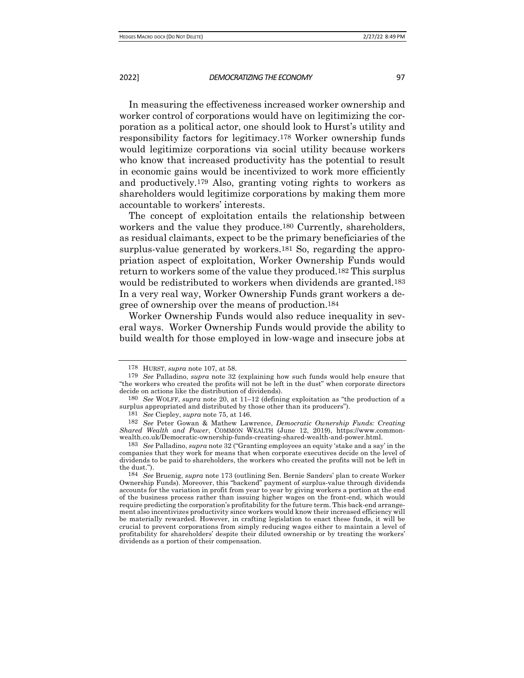In measuring the effectiveness increased worker ownership and worker control of corporations would have on legitimizing the corporation as a political actor, one should look to Hurst's utility and responsibility factors for legitimacy.178 Worker ownership funds would legitimize corporations via social utility because workers who know that increased productivity has the potential to result in economic gains would be incentivized to work more efficiently and productively.179 Also, granting voting rights to workers as shareholders would legitimize corporations by making them more accountable to workers' interests.

The concept of exploitation entails the relationship between workers and the value they produce.180 Currently, shareholders, as residual claimants, expect to be the primary beneficiaries of the surplus-value generated by workers.181 So, regarding the appropriation aspect of exploitation, Worker Ownership Funds would return to workers some of the value they produced.182 This surplus would be redistributed to workers when dividends are granted.183 In a very real way, Worker Ownership Funds grant workers a degree of ownership over the means of production.184

Worker Ownership Funds would also reduce inequality in several ways. Worker Ownership Funds would provide the ability to build wealth for those employed in low-wage and insecure jobs at

<sup>178</sup> HURST, *supra* note 107, at 58.

<sup>179</sup> *See* Palladino, *supra* note 32 (explaining how such funds would help ensure that "the workers who created the profits will not be left in the dust" when corporate directors decide on actions like the distribution of dividends).

<sup>180</sup> *See* WOLFF, *supra* note 20, at 11–12 (defining exploitation as "the production of a surplus appropriated and distributed by those other than its producers").

<sup>181</sup> *See* Ciepley, *supra* note 75, at 146.

<sup>182</sup> *See* Peter Gowan & Mathew Lawrence, *Democratic Ownership Funds: Creating Shared Wealth and Power*, COMMON WEALTH (June 12, 2019), https://www.commonwealth.co.uk/Democratic-ownership-funds-creating-shared-wealth-and-power.html.

<sup>183</sup> *See* Palladino, *supra* note 32 ("Granting employees an equity 'stake and a say' in the companies that they work for means that when corporate executives decide on the level of dividends to be paid to shareholders, the workers who created the profits will not be left in the dust.").

<sup>184</sup> *See* Bruenig, *supra* note 173 (outlining Sen. Bernie Sanders' plan to create Worker Ownership Funds). Moreover, this "backend" payment of surplus-value through dividends accounts for the variation in profit from year to year by giving workers a portion at the end of the business process rather than issuing higher wages on the front-end, which would require predicting the corporation's profitability for the future term. This back-end arrangement also incentivizes productivity since workers would know their increased efficiency will be materially rewarded. However, in crafting legislation to enact these funds, it will be crucial to prevent corporations from simply reducing wages either to maintain a level of profitability for shareholders' despite their diluted ownership or by treating the workers' dividends as a portion of their compensation.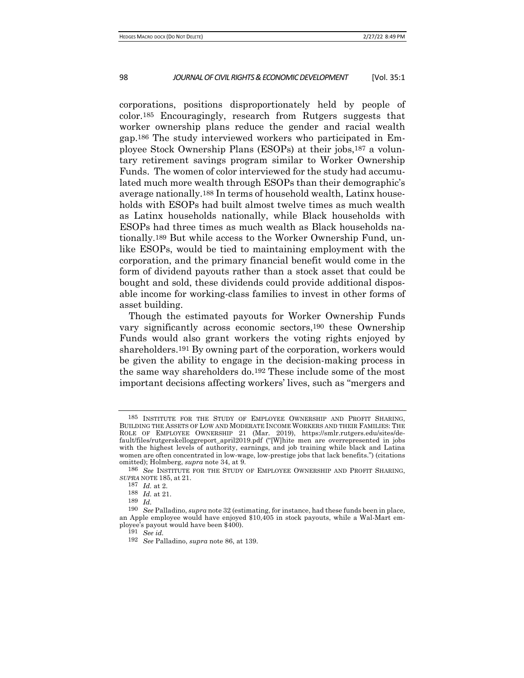corporations, positions disproportionately held by people of color.185 Encouragingly, research from Rutgers suggests that worker ownership plans reduce the gender and racial wealth gap.186 The study interviewed workers who participated in Employee Stock Ownership Plans (ESOPs) at their jobs,187 a voluntary retirement savings program similar to Worker Ownership Funds. The women of color interviewed for the study had accumulated much more wealth through ESOPs than their demographic's average nationally.188 In terms of household wealth, Latinx households with ESOPs had built almost twelve times as much wealth as Latinx households nationally, while Black households with ESOPs had three times as much wealth as Black households nationally.189 But while access to the Worker Ownership Fund, unlike ESOPs, would be tied to maintaining employment with the corporation, and the primary financial benefit would come in the form of dividend payouts rather than a stock asset that could be bought and sold, these dividends could provide additional disposable income for working-class families to invest in other forms of asset building.

Though the estimated payouts for Worker Ownership Funds vary significantly across economic sectors,190 these Ownership Funds would also grant workers the voting rights enjoyed by shareholders.191 By owning part of the corporation, workers would be given the ability to engage in the decision-making process in the same way shareholders do.192 These include some of the most important decisions affecting workers' lives, such as "mergers and

<sup>185</sup> INSTITUTE FOR THE STUDY OF EMPLOYEE OWNERSHIP AND PROFIT SHARING, BUILDING THE ASSETS OF LOW AND MODERATE INCOME WORKERS AND THEIR FAMILIES: THE ROLE OF EMPLOYEE OWNERSHIP 21 (Mar. 2019), https://smlr.rutgers.edu/sites/default/files/rutgerskelloggreport\_april2019.pdf ("[W]hite men are overrepresented in jobs with the highest levels of authority, earnings, and job training while black and Latina women are often concentrated in low-wage, low-prestige jobs that lack benefits.") (citations omitted); Holmberg, *supra* note 34, at 9.

<sup>186</sup> *See* INSTITUTE FOR THE STUDY OF EMPLOYEE OWNERSHIP AND PROFIT SHARING, *SUPRA* NOTE 185, at 21.

<sup>187</sup> *Id.* at 2.

<sup>188</sup> *Id.* at 21.

<sup>189</sup> *Id.*

<sup>190</sup> *See* Palladino, *supra* note 32 (estimating, for instance, had these funds been in place, an Apple employee would have enjoyed \$10,405 in stock payouts, while a Wal-Mart employee's payout would have been \$400).

<sup>191</sup> *See id.*

<sup>192</sup> *See* Palladino, *supra* note 86, at 139.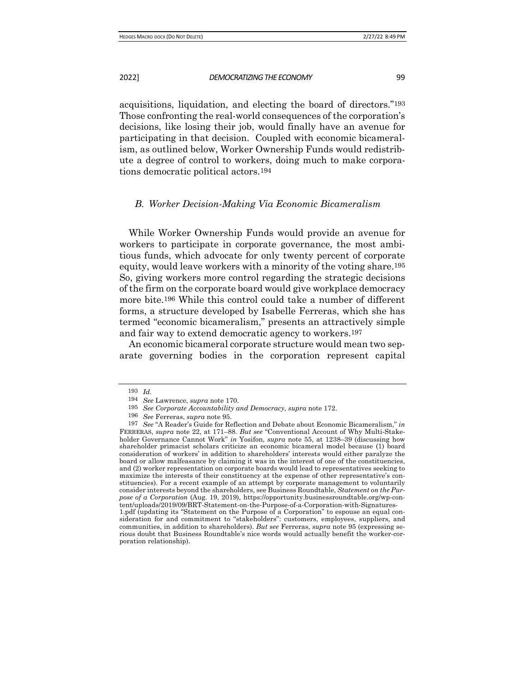acquisitions, liquidation, and electing the board of directors."193 Those confronting the real-world consequences of the corporation's decisions, like losing their job, would finally have an avenue for participating in that decision. Coupled with economic bicameralism, as outlined below, Worker Ownership Funds would redistrib-

## *B. Worker Decision-Making Via Economic Bicameralism*

ute a degree of control to workers, doing much to make corpora-

While Worker Ownership Funds would provide an avenue for workers to participate in corporate governance, the most ambitious funds, which advocate for only twenty percent of corporate equity, would leave workers with a minority of the voting share.195 So, giving workers more control regarding the strategic decisions of the firm on the corporate board would give workplace democracy more bite.196 While this control could take a number of different forms, a structure developed by Isabelle Ferreras, which she has termed "economic bicameralism," presents an attractively simple and fair way to extend democratic agency to workers.197

An economic bicameral corporate structure would mean two separate governing bodies in the corporation represent capital

tions democratic political actors.194

<sup>193</sup> *Id.*

<sup>194</sup> *See* Lawrence, *supra* note 170.

<sup>195</sup> *See Corporate Accountability and Democracy*, *supra* note 172.

<sup>196</sup> *See* Ferreras, *supra* note 95.

<sup>197</sup> *See* "A Reader's Guide for Reflection and Debate about Economic Bicameralism," *in* FERRERAS, *supra* note 22, at 171–88. *But see* "Conventional Account of Why Multi-Stakeholder Governance Cannot Work" *in* Yosifon, *supra* note 55, at 1238–39 (discussing how shareholder primacist scholars criticize an economic bicameral model because (1) board consideration of workers' in addition to shareholders' interests would either paralyze the board or allow malfeasance by claiming it was in the interest of one of the constituencies, and (2) worker representation on corporate boards would lead to representatives seeking to maximize the interests of their constituency at the expense of other representative's constituencies). For a recent example of an attempt by corporate management to voluntarily consider interests beyond the shareholders, see Business Roundtable, *Statement on the Purpose of a Corporation* (Aug. 19, 2019), https://opportunity.businessroundtable.org/wp-content/uploads/2019/09/BRT-Statement-on-the-Purpose-of-a-Corporation-with-Signatures-1.pdf (updating its "Statement on the Purpose of a Corporation" to espouse an equal consideration for and commitment to "stakeholders": customers, employees, suppliers, and communities, in addition to shareholders). *But see* Ferreras, *supra* note 95 (expressing serious doubt that Business Roundtable's nice words would actually benefit the worker-corporation relationship).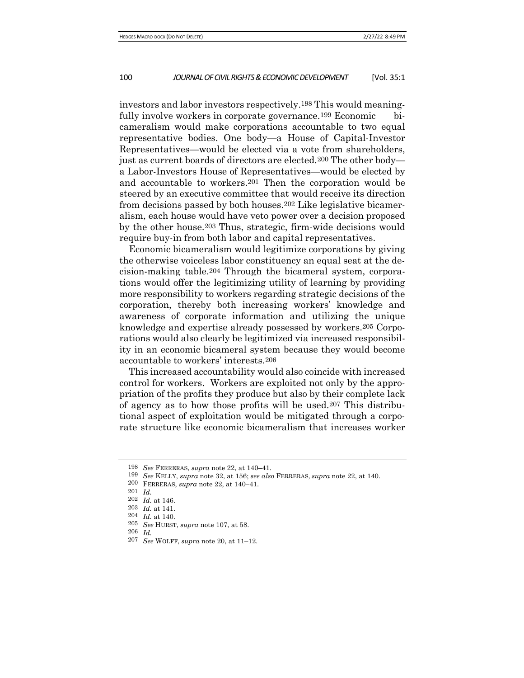investors and labor investors respectively.198 This would meaningfully involve workers in corporate governance.<sup>199</sup> Economic bicameralism would make corporations accountable to two equal representative bodies. One body—a House of Capital-Investor Representatives—would be elected via a vote from shareholders, just as current boards of directors are elected.200 The other body a Labor-Investors House of Representatives—would be elected by and accountable to workers.201 Then the corporation would be steered by an executive committee that would receive its direction from decisions passed by both houses.202 Like legislative bicameralism, each house would have veto power over a decision proposed by the other house.203 Thus, strategic, firm-wide decisions would require buy-in from both labor and capital representatives.

Economic bicameralism would legitimize corporations by giving the otherwise voiceless labor constituency an equal seat at the decision-making table.204 Through the bicameral system, corporations would offer the legitimizing utility of learning by providing more responsibility to workers regarding strategic decisions of the corporation, thereby both increasing workers' knowledge and awareness of corporate information and utilizing the unique knowledge and expertise already possessed by workers.205 Corporations would also clearly be legitimized via increased responsibility in an economic bicameral system because they would become accountable to workers' interests.206

This increased accountability would also coincide with increased control for workers. Workers are exploited not only by the appropriation of the profits they produce but also by their complete lack of agency as to how those profits will be used.207 This distributional aspect of exploitation would be mitigated through a corporate structure like economic bicameralism that increases worker

<sup>198</sup> *See* FERRERAS, *supra* note 22, at 140–41.

<sup>199</sup> *See* KELLY, *supra* note 32, at 156; *see also* FERRERAS, *supra* note 22, at 140.

<sup>200</sup> FERRERAS, *supra* note 22, at 140–41.

<sup>201</sup> *Id.*

<sup>202</sup> *Id.* at 146.

<sup>203</sup> *Id.* at 141.

<sup>204</sup> *Id.* at 140.

<sup>205</sup> *See* HURST, *supra* note 107, at 58.

<sup>206</sup> *Id.*

<sup>207</sup> *See* WOLFF, *supra* note 20, at 11–12.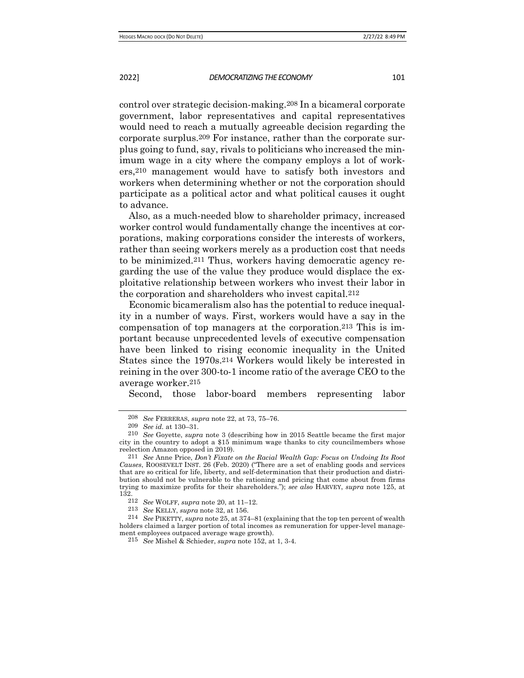control over strategic decision-making.208 In a bicameral corporate government, labor representatives and capital representatives would need to reach a mutually agreeable decision regarding the corporate surplus.209 For instance, rather than the corporate surplus going to fund, say, rivals to politicians who increased the minimum wage in a city where the company employs a lot of workers,210 management would have to satisfy both investors and workers when determining whether or not the corporation should participate as a political actor and what political causes it ought to advance.

Also, as a much-needed blow to shareholder primacy, increased worker control would fundamentally change the incentives at corporations, making corporations consider the interests of workers, rather than seeing workers merely as a production cost that needs to be minimized.211 Thus, workers having democratic agency regarding the use of the value they produce would displace the exploitative relationship between workers who invest their labor in the corporation and shareholders who invest capital.212

Economic bicameralism also has the potential to reduce inequality in a number of ways. First, workers would have a say in the compensation of top managers at the corporation.213 This is important because unprecedented levels of executive compensation have been linked to rising economic inequality in the United States since the 1970s.214 Workers would likely be interested in reining in the over 300-to-1 income ratio of the average CEO to the average worker.215

Second, those labor-board members representing labor

<sup>208</sup> *See* FERRERAS, *supra* note 22, at 73, 75–76.

<sup>209</sup> *See id.* at 130–31.

<sup>210</sup> *See* Goyette, *supra* note 3 (describing how in 2015 Seattle became the first major city in the country to adopt a \$15 minimum wage thanks to city councilmembers whose reelection Amazon opposed in 2019).

<sup>211</sup> *See* Anne Price, *Don't Fixate on the Racial Wealth Gap: Focus on Undoing Its Root Causes*, ROOSEVELT INST. 26 (Feb. 2020) ("There are a set of enabling goods and services that are so critical for life, liberty, and self-determination that their production and distribution should not be vulnerable to the rationing and pricing that come about from firms trying to maximize profits for their shareholders."); *see also* HARVEY, *supra* note 125, at 132.

<sup>212</sup> *See* WOLFF, *supra* note 20, at 11–12.

<sup>213</sup> *See* KELLY, *supra* note 32, at 156.

<sup>214</sup> *See* PIKETTY, *supra* note 25, at 374–81 (explaining that the top ten percent of wealth holders claimed a larger portion of total incomes as remuneration for upper-level management employees outpaced average wage growth).

<sup>215</sup> *See* Mishel & Schieder, *supra* note 152, at 1, 3-4.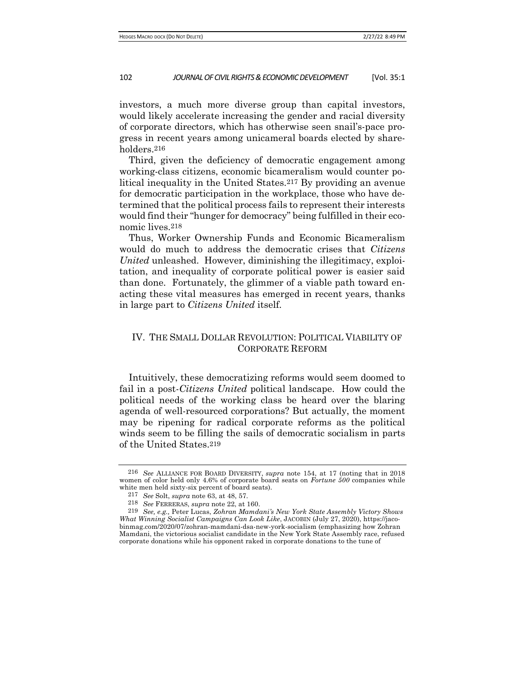investors, a much more diverse group than capital investors, would likely accelerate increasing the gender and racial diversity of corporate directors, which has otherwise seen snail's-pace progress in recent years among unicameral boards elected by shareholders.216

Third, given the deficiency of democratic engagement among working-class citizens, economic bicameralism would counter political inequality in the United States.217 By providing an avenue for democratic participation in the workplace, those who have determined that the political process fails to represent their interests would find their "hunger for democracy" being fulfilled in their economic lives.218

Thus, Worker Ownership Funds and Economic Bicameralism would do much to address the democratic crises that *Citizens United* unleashed. However, diminishing the illegitimacy, exploitation, and inequality of corporate political power is easier said than done. Fortunately, the glimmer of a viable path toward enacting these vital measures has emerged in recent years, thanks in large part to *Citizens United* itself.

# IV. THE SMALL DOLLAR REVOLUTION: POLITICAL VIABILITY OF CORPORATE REFORM

Intuitively, these democratizing reforms would seem doomed to fail in a post-*Citizens United* political landscape. How could the political needs of the working class be heard over the blaring agenda of well-resourced corporations? But actually, the moment may be ripening for radical corporate reforms as the political winds seem to be filling the sails of democratic socialism in parts of the United States.219

<sup>216</sup> *See* ALLIANCE FOR BOARD DIVERSITY, *supra* note 154, at 17 (noting that in 2018 women of color held only 4.6% of corporate board seats on *Fortune 500* companies while white men held sixty-six percent of board seats).

<sup>217</sup> *See* Solt, *supra* note 63, at 48, 57.

<sup>218</sup> *See* FERRERAS, *supra* note 22, at 160.

<sup>219</sup> *See, e.g.,* Peter Lucas, *Zohran Mamdani's New York State Assembly Victory Shows What Winning Socialist Campaigns Can Look Like*, JACOBIN (July 27, 2020), https://jacobinmag.com/2020/07/zohran-mamdani-dsa-new-york-socialism (emphasizing how Zohran Mamdani, the victorious socialist candidate in the New York State Assembly race, refused corporate donations while his opponent raked in corporate donations to the tune of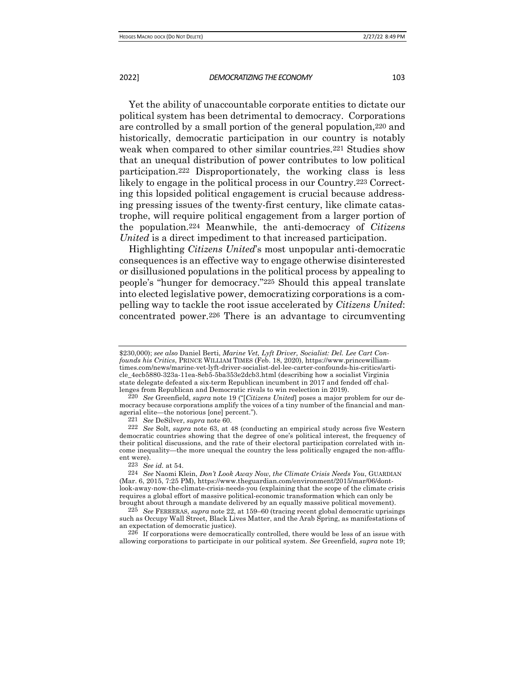Yet the ability of unaccountable corporate entities to dictate our political system has been detrimental to democracy. Corporations are controlled by a small portion of the general population,220 and historically, democratic participation in our country is notably weak when compared to other similar countries.221 Studies show that an unequal distribution of power contributes to low political participation.222 Disproportionately, the working class is less likely to engage in the political process in our Country.223 Correcting this lopsided political engagement is crucial because addressing pressing issues of the twenty-first century, like climate catastrophe, will require political engagement from a larger portion of the population.224 Meanwhile, the anti-democracy of *Citizens United* is a direct impediment to that increased participation.

Highlighting *Citizens United*'s most unpopular anti-democratic consequences is an effective way to engage otherwise disinterested or disillusioned populations in the political process by appealing to people's "hunger for democracy."225 Should this appeal translate into elected legislative power, democratizing corporations is a compelling way to tackle the root issue accelerated by *Citizens United*: concentrated power.226 There is an advantage to circumventing

226 If corporations were democratically controlled, there would be less of an issue with allowing corporations to participate in our political system. *See* Greenfield, *supra* note 19;

<sup>\$230,000);</sup> *see also* Daniel Berti, *Marine Vet, Lyft Driver, Socialist: Del. Lee Cart Confounds his Critics*, PRINCE WILLIAM TIMES (Feb. 18, 2020), https://www.princewilliamtimes.com/news/marine-vet-lyft-driver-socialist-del-lee-carter-confounds-his-critics/article\_4ecb5880-323a-11ea-8eb5-5ba353e2dcb3.html (describing how a socialist Virginia state delegate defeated a six-term Republican incumbent in 2017 and fended off challenges from Republican and Democratic rivals to win reelection in 2019).

<sup>220</sup> *See* Greenfield, *supra* note 19 ("[*Citizens United*] poses a major problem for our democracy because corporations amplify the voices of a tiny number of the financial and managerial elite—the notorious [one] percent.").

<sup>221</sup> *See* DeSilver, *supra* note 60.

<sup>222</sup> *See* Solt, *supra* note 63, at 48 (conducting an empirical study across five Western democratic countries showing that the degree of one's political interest, the frequency of their political discussions, and the rate of their electoral participation correlated with income inequality—the more unequal the country the less politically engaged the non-affluent were).

<sup>223</sup> *See id.* at 54.

<sup>224</sup> *See* Naomi Klein, *Don't Look Away Now, the Climate Crisis Needs You*, GUARDIAN (Mar. 6, 2015, 7:25 PM), https://www.theguardian.com/environment/2015/mar/06/dontlook-away-now-the-climate-crisis-needs-you (explaining that the scope of the climate crisis requires a global effort of massive political-economic transformation which can only be brought about through a mandate delivered by an equally massive political movement).

<sup>225</sup> *See* FERRERAS, *supra* note 22, at 159–60 (tracing recent global democratic uprisings such as Occupy Wall Street, Black Lives Matter, and the Arab Spring, as manifestations of an expectation of democratic justice).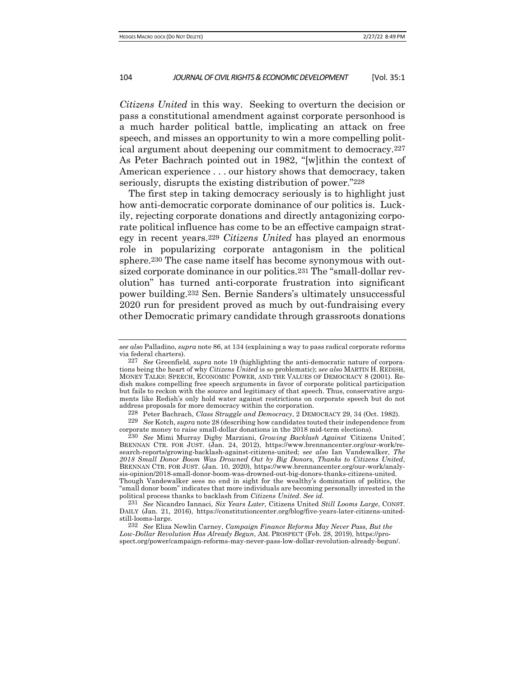*Citizens United* in this way. Seeking to overturn the decision or pass a constitutional amendment against corporate personhood is a much harder political battle, implicating an attack on free speech, and misses an opportunity to win a more compelling political argument about deepening our commitment to democracy.227 As Peter Bachrach pointed out in 1982, "[w]ithin the context of American experience . . . our history shows that democracy, taken seriously, disrupts the existing distribution of power."228

The first step in taking democracy seriously is to highlight just how anti-democratic corporate dominance of our politics is. Luckily, rejecting corporate donations and directly antagonizing corporate political influence has come to be an effective campaign strategy in recent years.229 *Citizens United* has played an enormous role in popularizing corporate antagonism in the political sphere.230 The case name itself has become synonymous with outsized corporate dominance in our politics.231 The "small-dollar revolution" has turned anti-corporate frustration into significant power building.232 Sen. Bernie Sanders's ultimately unsuccessful 2020 run for president proved as much by out-fundraising every other Democratic primary candidate through grassroots donations

228 Peter Bachrach, *Class Struggle and Democracy*, 2 DEMOCRACY 29, 34 (Oct. 1982).

*see also* Palladino, *supra* note 86, at 134 (explaining a way to pass radical corporate reforms via federal charters).

<sup>227</sup> *See* Greenfield, *supra* note 19 (highlighting the anti-democratic nature of corporations being the heart of why *Citizens United* is so problematic); s*ee also* MARTIN H. REDISH, MONEY TALKS: SPEECH, ECONOMIC POWER, AND THE VALUES OF DEMOCRACY 8 (2001). Redish makes compelling free speech arguments in favor of corporate political participation but fails to reckon with the source and legitimacy of that speech. Thus, conservative arguments like Redish's only hold water against restrictions on corporate speech but do not address proposals for more democracy within the corporation.

<sup>229</sup> *See* Kotch, *supra* note 28 (describing how candidates touted their independence from corporate money to raise small-dollar donations in the 2018 mid-term elections).

<sup>230</sup> *See* Mimi Murray Digby Marziani, *Growing Backlash Against '*Citizens United*'*, BRENNAN CTR. FOR JUST. (Jan. 24, 2012), https://www.brennancenter.org/our-work/research-reports/growing-backlash-against-citizens-united; s*ee also* Ian Vandewalker, *The 2018 Small Donor Boom Was Drowned Out by Big Donors, Thanks to Citizens United*, BRENNAN CTR. FOR JUST. (Jan. 10, 2020), https://www.brennancenter.org/our-work/analysis-opinion/2018-small-donor-boom-was-drowned-out-big-donors-thanks-citizens-united. Though Vandewalker sees no end in sight for the wealthy's domination of politics, the "small donor boom" indicates that more individuals are becoming personally invested in the political process thanks to backlash from *Citizens United*. *See id.*

<sup>231</sup> *See* Nicandro Iannaci, *Six Years Later,* Citizens United *Still Looms Large*, CONST. DAILY (Jan. 21, 2016), https://constitutioncenter.org/blog/five-years-later-citizens-unitedstill-looms-large.

<sup>232</sup> *See* Eliza Newlin Carney, *Campaign Finance Reforms May Never Pass, But the Low-Dollar Revolution Has Already Begun*, AM. PROSPECT (Feb. 28, 2019), https://prospect.org/power/campaign-reforms-may-never-pass-low-dollar-revolution-already-begun/.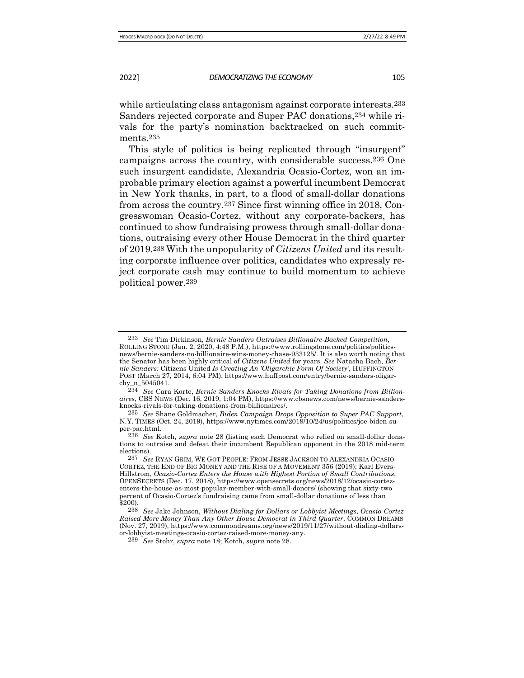while articulating class antagonism against corporate interests.<sup>233</sup> Sanders rejected corporate and Super PAC donations,234 while rivals for the party's nomination backtracked on such commitments.235

This style of politics is being replicated through "insurgent" campaigns across the country, with considerable success.236 One such insurgent candidate, Alexandria Ocasio-Cortez, won an improbable primary election against a powerful incumbent Democrat in New York thanks, in part, to a flood of small-dollar donations from across the country.237 Since first winning office in 2018, Congresswoman Ocasio-Cortez, without any corporate-backers, has continued to show fundraising prowess through small-dollar donations, outraising every other House Democrat in the third quarter of 2019.238 With the unpopularity of *Citizens United* and its resulting corporate influence over politics, candidates who expressly reject corporate cash may continue to build momentum to achieve political power.239

<sup>233</sup> *See* Tim Dickinson, *Bernie Sanders Outraises Billionaire-Backed Competition*, ROLLING STONE (Jan. 2, 2020, 4:48 P.M.), https://www.rollingstone.com/politics/politicsnews/bernie-sanders-no-billionaire-wins-money-chase-933125/. It is also worth noting that the Senator has been highly critical of *Citizens United* for years. *See* Natasha Bach, *Bernie Sanders:* Citizens United *Is Creating An 'Oligarchic Form Of Society'*, HUFFINGTON POST (March 27, 2014, 6:04 PM), https://www.huffpost.com/entry/bernie-sanders-oligarchy\_n\_5045041.

<sup>234</sup> *See* Cara Korte, *Bernie Sanders Knocks Rivals for Taking Donations from Billionaires*, CBS NEWS (Dec. 16, 2019, 1:04 PM), https://www.cbsnews.com/news/bernie-sandersknocks-rivals-for-taking-donations-from-billionaires/.

<sup>235</sup> *See* Shane Goldmacher, *Biden Campaign Drops Opposition to Super PAC Support*, N.Y. TIMES (Oct. 24, 2019), https://www.nytimes.com/2019/10/24/us/politics/joe-biden-super-pac.html.

<sup>236</sup> *See* Kotch, *supra* note 28 (listing each Democrat who relied on small-dollar donations to outraise and defeat their incumbent Republican opponent in the 2018 mid-term elections).

<sup>237</sup> *See* RYAN GRIM, WE GOT PEOPLE: FROM JESSE JACKSON TO ALEXANDRIA OCASIO-CORTEZ, THE END OF BIG MONEY AND THE RISE OF A MOVEMENT 356 (2019); Karl Evers-Hillstrom, *Ocasio-Cortez Enters the House with Highest Portion of Small Contributions*, OPENSECRETS (Dec. 17, 2018), https://www.opensecrets.org/news/2018/12/ocasio-cortezenters-the-house-as-most-popular-member-with-small-donors/ (showing that sixty-two percent of Ocasio-Cortez's fundraising came from small-dollar donations of less than \$200).

<sup>238</sup> *See* Jake Johnson, *Without Dialing for Dollars or Lobbyist Meetings, Ocasio-Cortez Raised More Money Than Any Other House Democrat in Third Quarter*, COMMON DREAMS (Nov. 27, 2019), https://www.commondreams.org/news/2019/11/27/without-dialing-dollarsor-lobbyist-meetings-ocasio-cortez-raised-more-money-any.

<sup>239</sup> *See* Stohr, *supra* note 18; Kotch, *supra* note 28.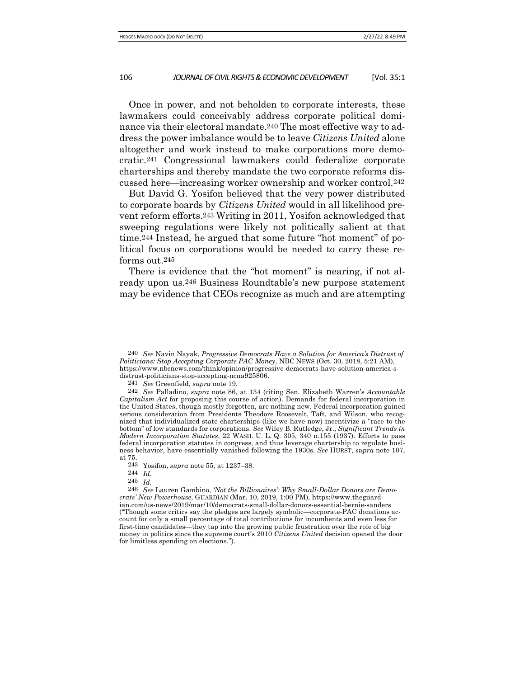Once in power, and not beholden to corporate interests, these lawmakers could conceivably address corporate political dominance via their electoral mandate.240 The most effective way to address the power imbalance would be to leave *Citizens United* alone altogether and work instead to make corporations more democratic.241 Congressional lawmakers could federalize corporate charterships and thereby mandate the two corporate reforms discussed here—increasing worker ownership and worker control.242

But David G. Yosifon believed that the very power distributed to corporate boards by *Citizens United* would in all likelihood prevent reform efforts.243 Writing in 2011, Yosifon acknowledged that sweeping regulations were likely not politically salient at that time.244 Instead, he argued that some future "hot moment" of political focus on corporations would be needed to carry these reforms out.245

There is evidence that the "hot moment" is nearing, if not already upon us.246 Business Roundtable's new purpose statement may be evidence that CEOs recognize as much and are attempting

<sup>240</sup> *See* Navin Nayak, *Progressive Democrats Have a Solution for America's Distrust of Politicians: Stop Accepting Corporate PAC Money*, NBC NEWS (Oct. 30, 2018, 5:21 AM), https://www.nbcnews.com/think/opinion/progressive-democrats-have-solution-america-sdistrust-politicians-stop-accepting-ncna925806.

<sup>241</sup> *See* Greenfield, *supra* note 19*.*

<sup>242</sup> *See* Palladino, *supra* note 86, at 134 (citing Sen. Elizabeth Warren's *Accountable Capitalism Act* for proposing this course of action). Demands for federal incorporation in the United States, though mostly forgotten, are nothing new. Federal incorporation gained serious consideration from Presidents Theodore Roosevelt, Taft, and Wilson, who recognized that individualized state charterships (like we have now) incentivize a "race to the bottom" of low standards for corporations. *See* Wiley B. Rutledge, Jr., *Significant Trends in Modern Incorporation Statutes*, 22 WASH. U. L. Q. 305, 340 n.155 (1937). Efforts to pass federal incorporation statutes in congress, and thus leverage chartership to regulate business behavior, have essentially vanished following the 1930s. *See* HURST, *supra* note 107, at 75.

<sup>243</sup> Yosifon, *supra* note 55, at 1237–38.

<sup>244</sup> *Id.*

<sup>245</sup> *Id.*

<sup>246</sup> *See* Lauren Gambino, *'Not the Billionaires': Why Small-Dollar Donors are Democrats' New Powerhouse*, GUARDIAN (Mar. 10, 2019, 1:00 PM), https://www.theguardian.com/us-news/2019/mar/10/democrats-small-dollar-donors-essential-bernie-sanders ("Though some critics say the pledges are largely symbolic—corporate-PAC donations account for only a small percentage of total contributions for incumbents and even less for first-time candidates—they tap into the growing public frustration over the role of big money in politics since the supreme court's 2010 *Citizens United* decision opened the door for limitless spending on elections.").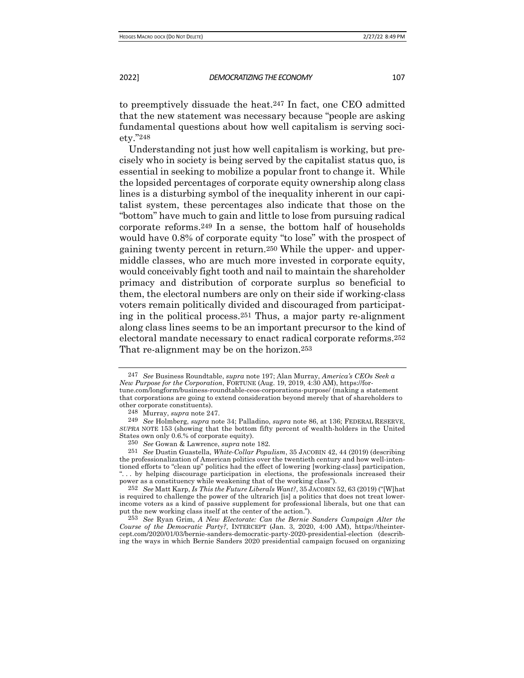to preemptively dissuade the heat.247 In fact, one CEO admitted that the new statement was necessary because "people are asking fundamental questions about how well capitalism is serving society."248

Understanding not just how well capitalism is working, but precisely who in society is being served by the capitalist status quo, is essential in seeking to mobilize a popular front to change it. While the lopsided percentages of corporate equity ownership along class lines is a disturbing symbol of the inequality inherent in our capitalist system, these percentages also indicate that those on the "bottom" have much to gain and little to lose from pursuing radical corporate reforms.249 In a sense, the bottom half of households would have 0.8% of corporate equity "to lose" with the prospect of gaining twenty percent in return.250 While the upper- and uppermiddle classes, who are much more invested in corporate equity, would conceivably fight tooth and nail to maintain the shareholder primacy and distribution of corporate surplus so beneficial to them, the electoral numbers are only on their side if working-class voters remain politically divided and discouraged from participating in the political process.251 Thus, a major party re-alignment along class lines seems to be an important precursor to the kind of electoral mandate necessary to enact radical corporate reforms.252 That re-alignment may be on the horizon.253

247 *See* Business Roundtable, *supra* note 197; Alan Murray, *America's CEOs Seek a New Purpose for the Corporation*, FORTUNE (Aug. 19, 2019, 4:30 AM), https://fortune.com/longform/business-roundtable-ceos-corporations-purpose/ (making a statement that corporations are going to extend consideration beyond merely that of shareholders to other corporate constituents).

<sup>248</sup> Murray, *supra* note 247.

<sup>249</sup> *See* Holmberg, *supra* note 34; Palladino, *supra* note 86, at 136; FEDERAL RESERVE, *SUPRA* NOTE 153 (showing that the bottom fifty percent of wealth-holders in the United States own only 0.6.% of corporate equity).

<sup>250</sup> *See* Gowan & Lawrence, *supra* note 182.

<sup>251</sup> *See* Dustin Guastella, *White-Collar Populism*, 35 JACOBIN 42, 44 (2019) (describing the professionalization of American politics over the twentieth century and how well-intentioned efforts to "clean up" politics had the effect of lowering [working-class] participation, ". . . by helping discourage participation in elections, the professionals increased their power as a constituency while weakening that of the working class").

<sup>252</sup> *See* Matt Karp, *Is This the Future Liberals Want?*, 35 JACOBIN 52, 63 (2019) ("[W]hat is required to challenge the power of the ultrarich [is] a politics that does not treat lowerincome voters as a kind of passive supplement for professional liberals, but one that can put the new working class itself at the center of the action.").

<sup>253</sup> *See* Ryan Grim, *A New Electorate: Can the Bernie Sanders Campaign Alter the Course of the Democratic Party?*, INTERCEPT (Jan. 3, 2020, 4:00 AM), https://theintercept.com/2020/01/03/bernie-sanders-democratic-party-2020-presidential-election (describing the ways in which Bernie Sanders 2020 presidential campaign focused on organizing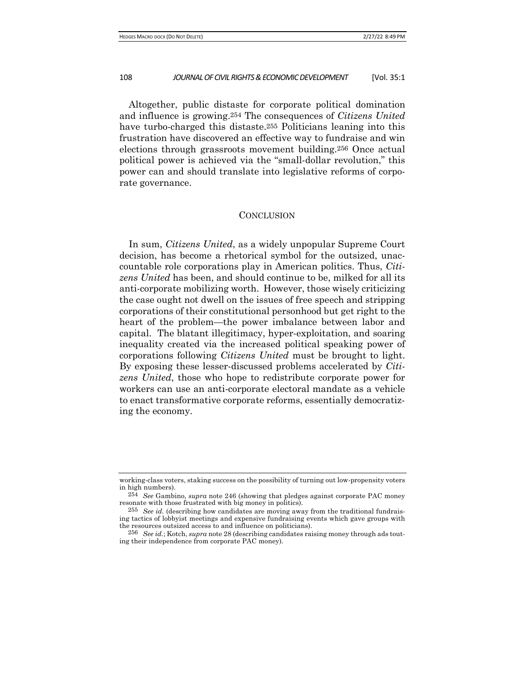Altogether, public distaste for corporate political domination and influence is growing.254 The consequences of *Citizens United* have turbo-charged this distaste.255 Politicians leaning into this frustration have discovered an effective way to fundraise and win elections through grassroots movement building.256 Once actual political power is achieved via the "small-dollar revolution," this power can and should translate into legislative reforms of corporate governance.

#### **CONCLUSION**

In sum, *Citizens United*, as a widely unpopular Supreme Court decision, has become a rhetorical symbol for the outsized, unaccountable role corporations play in American politics. Thus, *Citizens United* has been, and should continue to be, milked for all its anti-corporate mobilizing worth. However, those wisely criticizing the case ought not dwell on the issues of free speech and stripping corporations of their constitutional personhood but get right to the heart of the problem—the power imbalance between labor and capital. The blatant illegitimacy, hyper-exploitation, and soaring inequality created via the increased political speaking power of corporations following *Citizens United* must be brought to light. By exposing these lesser-discussed problems accelerated by *Citizens United*, those who hope to redistribute corporate power for workers can use an anti-corporate electoral mandate as a vehicle to enact transformative corporate reforms, essentially democratizing the economy.

working-class voters, staking success on the possibility of turning out low-propensity voters in high numbers).

<sup>254</sup> *See* Gambino, *supra* note 246 (showing that pledges against corporate PAC money resonate with those frustrated with big money in politics).

<sup>255</sup> *See id.* (describing how candidates are moving away from the traditional fundraising tactics of lobbyist meetings and expensive fundraising events which gave groups with the resources outsized access to and influence on politicians).

<sup>256</sup> *See id.*; Kotch, *supra* note 28 (describing candidates raising money through ads touting their independence from corporate PAC money).